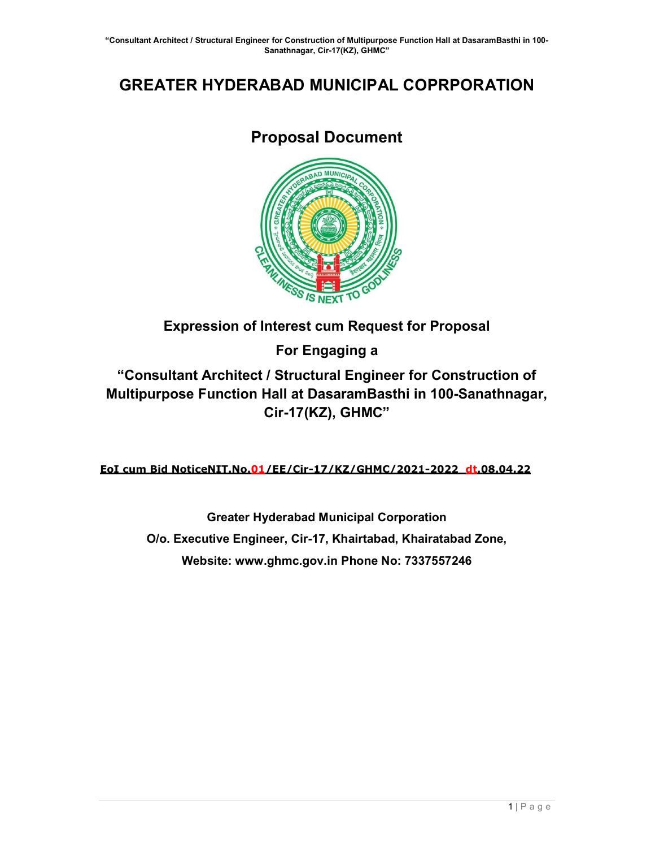# GREATER HYDERABAD MUNICIPAL COPRPORATION

# Proposal Document



# Expression of Interest cum Request for Proposal

For Engaging a

"Consultant Architect / Structural Engineer for Construction of Multipurpose Function Hall at DasaramBasthi in 100-Sanathnagar, Cir-17(KZ), GHMC"

EoI cum Bid NoticeNIT.No.01/EE/Cir-17/KZ/GHMC/2021-2022 dt.08.04.22

Greater Hyderabad Municipal Corporation O/o. Executive Engineer, Cir-17, Khairtabad, Khairatabad Zone, Website: www.ghmc.gov.in Phone No: 7337557246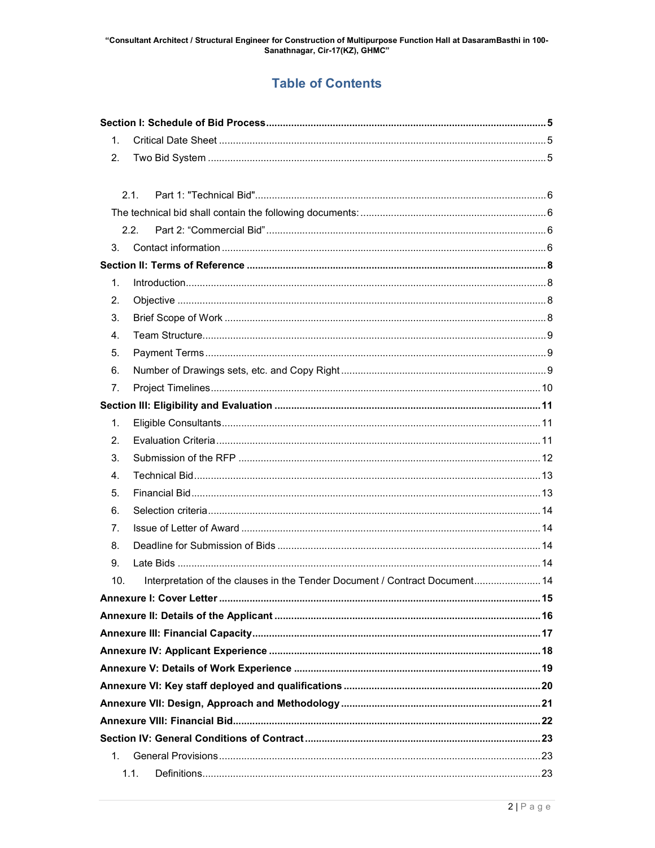# **Table of Contents**

| 1.      |                                                                             |  |  |  |  |
|---------|-----------------------------------------------------------------------------|--|--|--|--|
| 2.      |                                                                             |  |  |  |  |
|         |                                                                             |  |  |  |  |
|         | 2.1.                                                                        |  |  |  |  |
|         |                                                                             |  |  |  |  |
|         | 2.2.                                                                        |  |  |  |  |
| 3.      |                                                                             |  |  |  |  |
|         |                                                                             |  |  |  |  |
| 1.      |                                                                             |  |  |  |  |
| 2.      |                                                                             |  |  |  |  |
| 3.      |                                                                             |  |  |  |  |
| 4.      |                                                                             |  |  |  |  |
| 5.      |                                                                             |  |  |  |  |
| 6.      |                                                                             |  |  |  |  |
| 7.      |                                                                             |  |  |  |  |
|         |                                                                             |  |  |  |  |
| 1.      |                                                                             |  |  |  |  |
| 2.      |                                                                             |  |  |  |  |
| 3.      |                                                                             |  |  |  |  |
| 4.      |                                                                             |  |  |  |  |
| 5.      |                                                                             |  |  |  |  |
| 6.      |                                                                             |  |  |  |  |
| 7.      |                                                                             |  |  |  |  |
| 8.      |                                                                             |  |  |  |  |
| 9.      |                                                                             |  |  |  |  |
| 10.     | Interpretation of the clauses in the Tender Document / Contract Document 14 |  |  |  |  |
|         |                                                                             |  |  |  |  |
|         |                                                                             |  |  |  |  |
|         |                                                                             |  |  |  |  |
|         |                                                                             |  |  |  |  |
|         |                                                                             |  |  |  |  |
|         |                                                                             |  |  |  |  |
|         |                                                                             |  |  |  |  |
|         |                                                                             |  |  |  |  |
|         |                                                                             |  |  |  |  |
| $1_{-}$ |                                                                             |  |  |  |  |
|         | 1.1.                                                                        |  |  |  |  |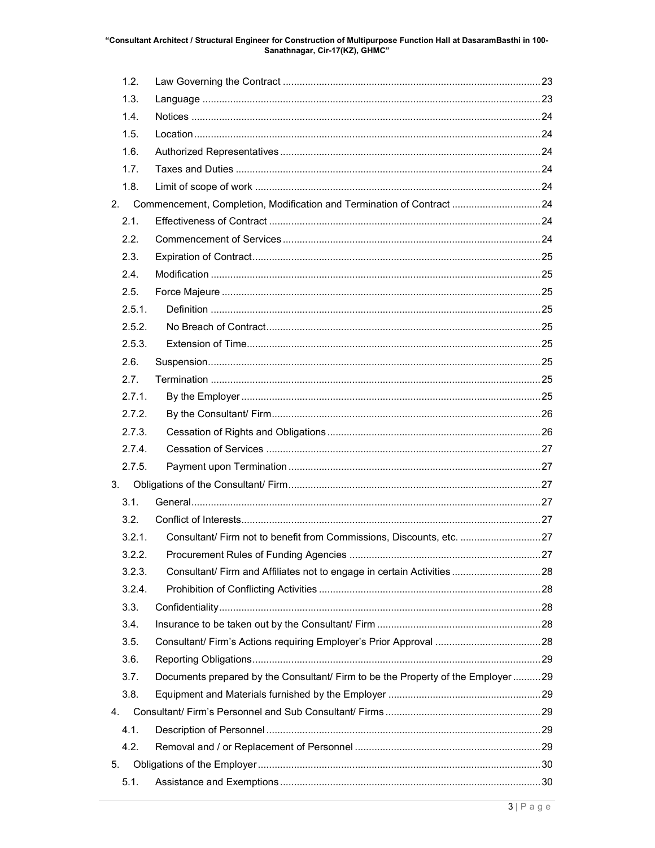# "Consultant Architect / Structural Engineer for Construction of Multipurpose Function Hall at DasaramBasthi in 100-<br>Sanathnagar, Cir-17(KZ), GHMC"

| 1.2.   |                                                                                  |  |
|--------|----------------------------------------------------------------------------------|--|
| 1.3.   |                                                                                  |  |
| 1.4.   |                                                                                  |  |
| 1.5.   |                                                                                  |  |
| 1.6.   |                                                                                  |  |
| 1.7.   |                                                                                  |  |
| 1.8.   |                                                                                  |  |
| 2.     | Commencement, Completion, Modification and Termination of Contract 24            |  |
| 2.1.   |                                                                                  |  |
| 2.2.   |                                                                                  |  |
| 2.3.   |                                                                                  |  |
| 2.4.   |                                                                                  |  |
| 2.5.   |                                                                                  |  |
| 2.5.1. |                                                                                  |  |
| 2.5.2. |                                                                                  |  |
| 2.5.3. |                                                                                  |  |
| 2.6.   |                                                                                  |  |
| 2.7.   |                                                                                  |  |
| 2.7.1. |                                                                                  |  |
| 2.7.2. |                                                                                  |  |
| 2.7.3. |                                                                                  |  |
| 2.7.4. |                                                                                  |  |
| 2.7.5. |                                                                                  |  |
| 3.     |                                                                                  |  |
| 3.1.   |                                                                                  |  |
| 3.2.   |                                                                                  |  |
| 3.2.1. | Consultant/ Firm not to benefit from Commissions, Discounts, etc. 27             |  |
| 3.2.2. |                                                                                  |  |
| 3.2.3. | Consultant/ Firm and Affiliates not to engage in certain Activities  28          |  |
| 3.2.4. |                                                                                  |  |
| 3.3.   |                                                                                  |  |
| 3.4.   |                                                                                  |  |
| 3.5.   |                                                                                  |  |
| 3.6.   |                                                                                  |  |
| 3.7.   | Documents prepared by the Consultant/ Firm to be the Property of the Employer 29 |  |
| 3.8.   |                                                                                  |  |
| 4.     |                                                                                  |  |
| 4.1.   |                                                                                  |  |
| 4.2.   |                                                                                  |  |
| 5.     |                                                                                  |  |
| 5.1.   |                                                                                  |  |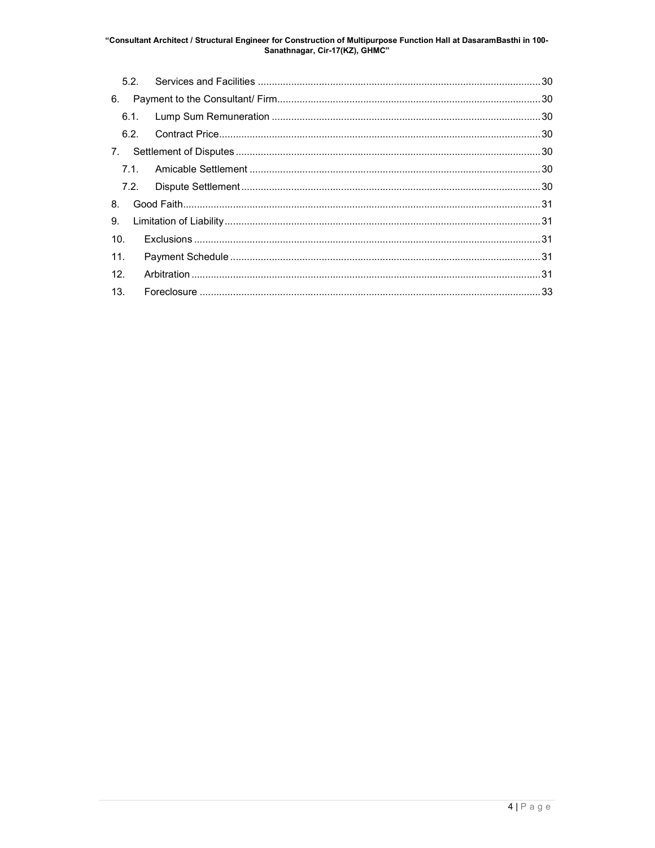# "Consultant Architect / Structural Engineer for Construction of Multipurpose Function Hall at DasaramBasthi in 100-<br>Sanathnagar, Cir-17(KZ), GHMC"

| 6.   |  |  |  |  |
|------|--|--|--|--|
|      |  |  |  |  |
|      |  |  |  |  |
|      |  |  |  |  |
|      |  |  |  |  |
| 7.2. |  |  |  |  |
| 8.   |  |  |  |  |
| 9.   |  |  |  |  |
| 10.  |  |  |  |  |
| 11.  |  |  |  |  |
| 12.  |  |  |  |  |
| 13.  |  |  |  |  |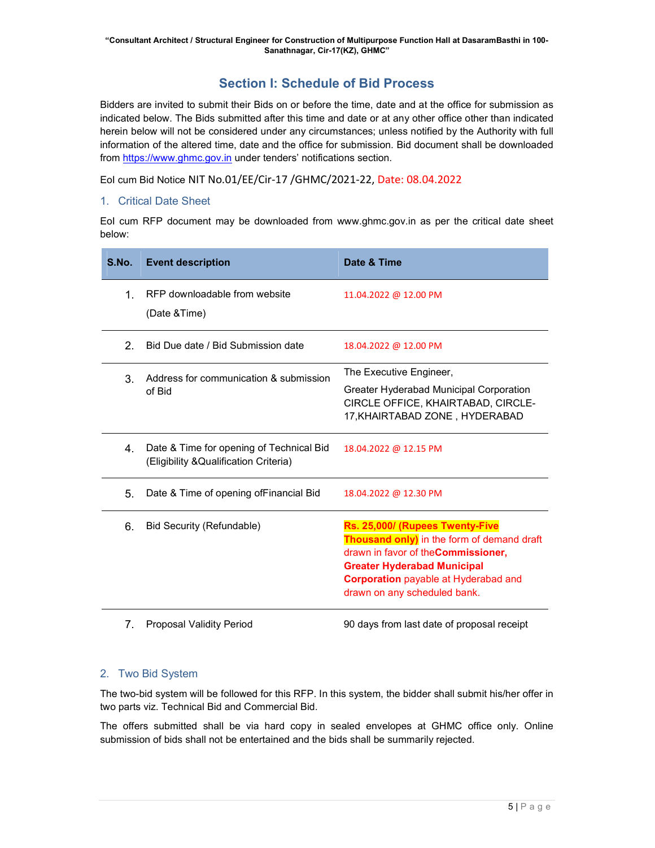# Section I: Schedule of Bid Process

Bidders are invited to submit their Bids on or before the time, date and at the office for submission as indicated below. The Bids submitted after this time and date or at any other office other than indicated herein below will not be considered under any circumstances; unless notified by the Authority with full information of the altered time, date and the office for submission. Bid document shall be downloaded from https://www.ghmc.gov.in under tenders' notifications section.

EoI cum Bid Notice NIT No.01/EE/Cir-17 /GHMC/2021-22, Date: 08.04.2022

# 1. Critical Date Sheet

EoI cum RFP document may be downloaded from www.ghmc.gov.in as per the critical date sheet below:

| S.No.        | <b>Event description</b>                                                           | Date & Time                                                                                                                                                                                                                               |
|--------------|------------------------------------------------------------------------------------|-------------------------------------------------------------------------------------------------------------------------------------------------------------------------------------------------------------------------------------------|
| $\mathbf{1}$ | RFP downloadable from website<br>(Date & Time)                                     | 11.04.2022 @ 12.00 PM                                                                                                                                                                                                                     |
| 2.           | Bid Due date / Bid Submission date                                                 | 18.04.2022 @ 12.00 PM                                                                                                                                                                                                                     |
| 3.           | Address for communication & submission<br>of Bid                                   | The Executive Engineer,<br><b>Greater Hyderabad Municipal Corporation</b><br>CIRCLE OFFICE, KHAIRTABAD, CIRCLE-<br>17, KHAIRTABAD ZONE, HYDERABAD                                                                                         |
| $4_{\cdot}$  | Date & Time for opening of Technical Bid<br>(Eligibility & Qualification Criteria) | 18.04.2022 @ 12.15 PM                                                                                                                                                                                                                     |
| 5.           | Date & Time of opening of Financial Bid                                            | 18.04.2022 @ 12.30 PM                                                                                                                                                                                                                     |
| 6.           | <b>Bid Security (Refundable)</b>                                                   | Rs. 25,000/ (Rupees Twenty-Five<br>Thousand only) in the form of demand draft<br>drawn in favor of the Commissioner,<br><b>Greater Hyderabad Municipal</b><br><b>Corporation</b> payable at Hyderabad and<br>drawn on any scheduled bank. |
|              |                                                                                    |                                                                                                                                                                                                                                           |

7. Proposal Validity Period 90 days from last date of proposal receipt

# 2. Two Bid System

The two-bid system will be followed for this RFP. In this system, the bidder shall submit his/her offer in two parts viz. Technical Bid and Commercial Bid.

The offers submitted shall be via hard copy in sealed envelopes at GHMC office only. Online submission of bids shall not be entertained and the bids shall be summarily rejected.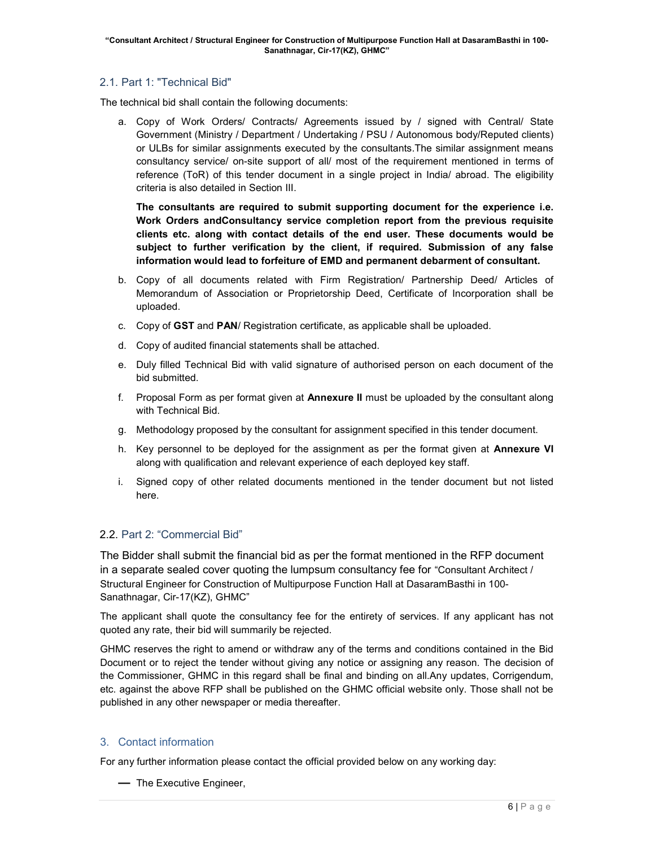# 2.1. Part 1: "Technical Bid"

The technical bid shall contain the following documents:

a. Copy of Work Orders/ Contracts/ Agreements issued by / signed with Central/ State Government (Ministry / Department / Undertaking / PSU / Autonomous body/Reputed clients) or ULBs for similar assignments executed by the consultants.The similar assignment means consultancy service/ on-site support of all/ most of the requirement mentioned in terms of reference (ToR) of this tender document in a single project in India/ abroad. The eligibility criteria is also detailed in Section III.

The consultants are required to submit supporting document for the experience i.e. Work Orders andConsultancy service completion report from the previous requisite clients etc. along with contact details of the end user. These documents would be subject to further verification by the client, if required. Submission of any false information would lead to forfeiture of EMD and permanent debarment of consultant.

- b. Copy of all documents related with Firm Registration/ Partnership Deed/ Articles of Memorandum of Association or Proprietorship Deed, Certificate of Incorporation shall be uploaded.
- c. Copy of GST and PAN/ Registration certificate, as applicable shall be uploaded.
- d. Copy of audited financial statements shall be attached.
- e. Duly filled Technical Bid with valid signature of authorised person on each document of the bid submitted.
- f. Proposal Form as per format given at **Annexure II** must be uploaded by the consultant along with Technical Bid.
- g. Methodology proposed by the consultant for assignment specified in this tender document.
- h. Key personnel to be deployed for the assignment as per the format given at **Annexure VI** along with qualification and relevant experience of each deployed key staff.
- i. Signed copy of other related documents mentioned in the tender document but not listed here.

# 2.2. Part 2: "Commercial Bid"

The Bidder shall submit the financial bid as per the format mentioned in the RFP document in a separate sealed cover quoting the lumpsum consultancy fee for "Consultant Architect / Structural Engineer for Construction of Multipurpose Function Hall at DasaramBasthi in 100- Sanathnagar, Cir-17(KZ), GHMC"

The applicant shall quote the consultancy fee for the entirety of services. If any applicant has not quoted any rate, their bid will summarily be rejected.

GHMC reserves the right to amend or withdraw any of the terms and conditions contained in the Bid Document or to reject the tender without giving any notice or assigning any reason. The decision of the Commissioner, GHMC in this regard shall be final and binding on all.Any updates, Corrigendum, etc. against the above RFP shall be published on the GHMC official website only. Those shall not be published in any other newspaper or media thereafter.

# 3. Contact information

For any further information please contact the official provided below on any working day:

— The Executive Engineer,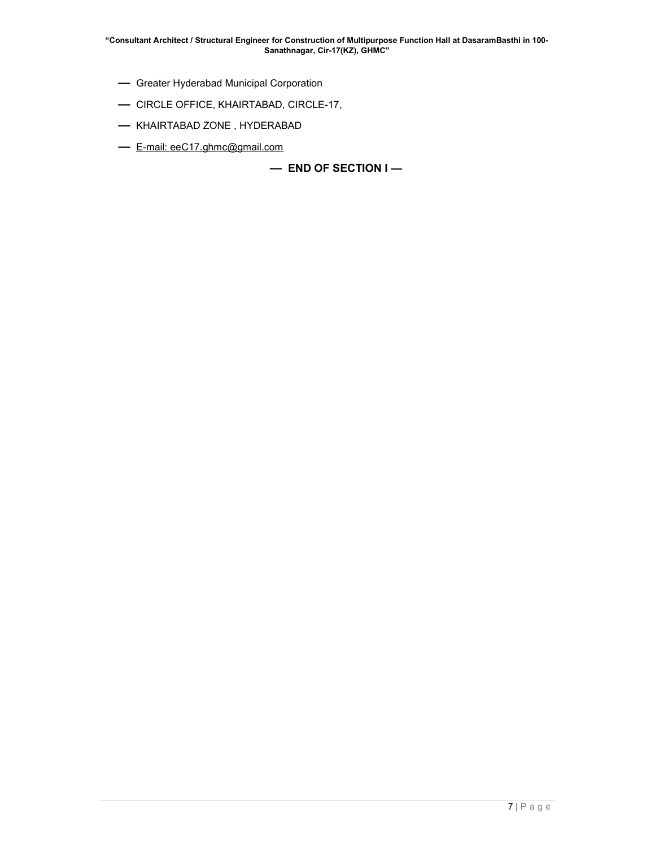- Greater Hyderabad Municipal Corporation
- CIRCLE OFFICE, KHAIRTABAD, CIRCLE-17,
- KHAIRTABAD ZONE , HYDERABAD
- E-mail: eeC17.ghmc@gmail.com

— END OF SECTION I —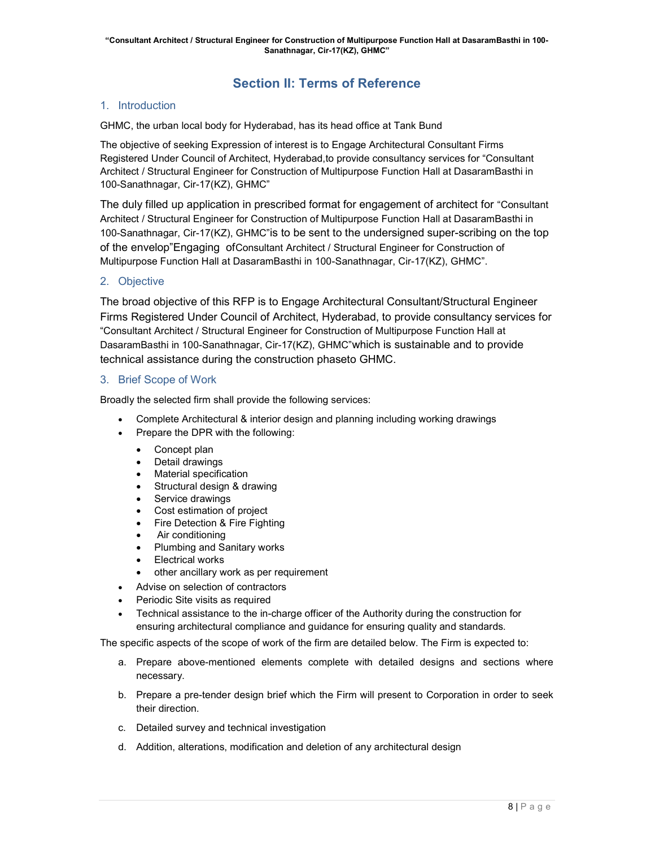# Section II: Terms of Reference

# 1. Introduction

GHMC, the urban local body for Hyderabad, has its head office at Tank Bund

The objective of seeking Expression of interest is to Engage Architectural Consultant Firms Registered Under Council of Architect, Hyderabad,to provide consultancy services for "Consultant Architect / Structural Engineer for Construction of Multipurpose Function Hall at DasaramBasthi in 100-Sanathnagar, Cir-17(KZ), GHMC"

The duly filled up application in prescribed format for engagement of architect for "Consultant Architect / Structural Engineer for Construction of Multipurpose Function Hall at DasaramBasthi in 100-Sanathnagar, Cir-17(KZ), GHMC"is to be sent to the undersigned super-scribing on the top of the envelop"Engaging ofConsultant Architect / Structural Engineer for Construction of Multipurpose Function Hall at DasaramBasthi in 100-Sanathnagar, Cir-17(KZ), GHMC".

# 2. Objective

The broad objective of this RFP is to Engage Architectural Consultant/Structural Engineer Firms Registered Under Council of Architect, Hyderabad, to provide consultancy services for "Consultant Architect / Structural Engineer for Construction of Multipurpose Function Hall at DasaramBasthi in 100-Sanathnagar, Cir-17(KZ), GHMC"which is sustainable and to provide technical assistance during the construction phaseto GHMC.

# 3. Brief Scope of Work

Broadly the selected firm shall provide the following services:

- Complete Architectural & interior design and planning including working drawings
- Prepare the DPR with the following:
	- Concept plan
	- Detail drawings
	- Material specification
	- Structural design & drawing
	- Service drawings
	- Cost estimation of project
	- Fire Detection & Fire Fighting
	- Air conditioning
	- Plumbing and Sanitary works
	- Electrical works
	- other ancillary work as per requirement
- Advise on selection of contractors
- Periodic Site visits as required
- Technical assistance to the in-charge officer of the Authority during the construction for ensuring architectural compliance and guidance for ensuring quality and standards.

The specific aspects of the scope of work of the firm are detailed below. The Firm is expected to:

- a. Prepare above-mentioned elements complete with detailed designs and sections where necessary.
- b. Prepare a pre-tender design brief which the Firm will present to Corporation in order to seek their direction.
- c. Detailed survey and technical investigation
- d. Addition, alterations, modification and deletion of any architectural design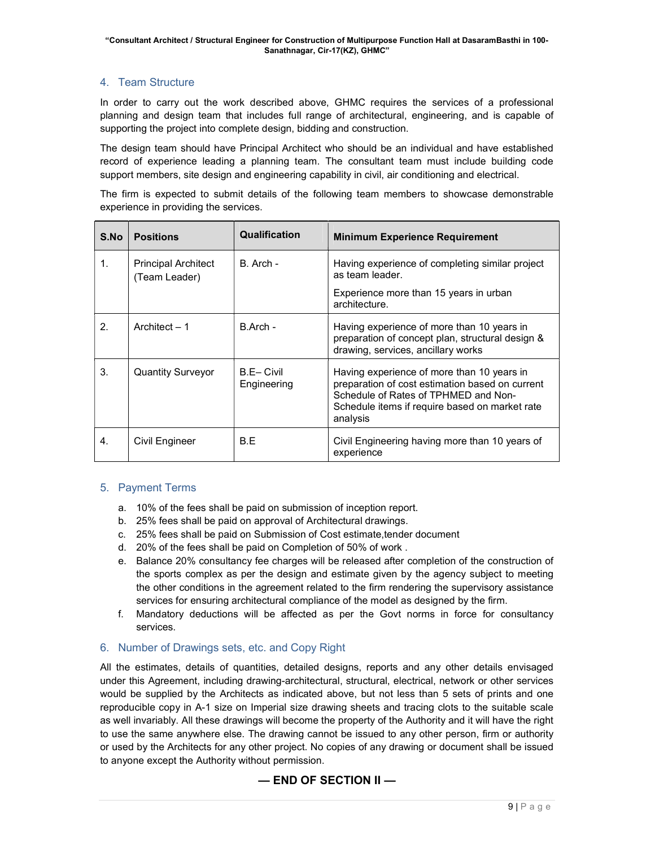# 4. Team Structure

In order to carry out the work described above, GHMC requires the services of a professional planning and design team that includes full range of architectural, engineering, and is capable of supporting the project into complete design, bidding and construction.

The design team should have Principal Architect who should be an individual and have established record of experience leading a planning team. The consultant team must include building code support members, site design and engineering capability in civil, air conditioning and electrical.

The firm is expected to submit details of the following team members to showcase demonstrable experience in providing the services.

| S.No | <b>Positions</b>                            | Qualification            | <b>Minimum Experience Requirement</b>                                                                                                                                                               |
|------|---------------------------------------------|--------------------------|-----------------------------------------------------------------------------------------------------------------------------------------------------------------------------------------------------|
| 1.   | <b>Principal Architect</b><br>(Team Leader) | B. Arch -                | Having experience of completing similar project<br>as team leader.<br>Experience more than 15 years in urban<br>architecture.                                                                       |
| 2.   | Architect $-1$                              | B.Arch -                 | Having experience of more than 10 years in<br>preparation of concept plan, structural design &<br>drawing, services, ancillary works                                                                |
| 3.   | <b>Quantity Surveyor</b>                    | B.E-Civil<br>Engineering | Having experience of more than 10 years in<br>preparation of cost estimation based on current<br>Schedule of Rates of TPHMED and Non-<br>Schedule items if require based on market rate<br>analysis |
| 4.   | Civil Engineer                              | B.E                      | Civil Engineering having more than 10 years of<br>experience                                                                                                                                        |

# 5. Payment Terms

- a. 10% of the fees shall be paid on submission of inception report.
- b. 25% fees shall be paid on approval of Architectural drawings.
- c. 25% fees shall be paid on Submission of Cost estimate,tender document
- d. 20% of the fees shall be paid on Completion of 50% of work .
- e. Balance 20% consultancy fee charges will be released after completion of the construction of the sports complex as per the design and estimate given by the agency subject to meeting the other conditions in the agreement related to the firm rendering the supervisory assistance services for ensuring architectural compliance of the model as designed by the firm.
- f. Mandatory deductions will be affected as per the Govt norms in force for consultancy services.

# 6. Number of Drawings sets, etc. and Copy Right

All the estimates, details of quantities, detailed designs, reports and any other details envisaged under this Agreement, including drawing-architectural, structural, electrical, network or other services would be supplied by the Architects as indicated above, but not less than 5 sets of prints and one reproducible copy in A-1 size on Imperial size drawing sheets and tracing clots to the suitable scale as well invariably. All these drawings will become the property of the Authority and it will have the right to use the same anywhere else. The drawing cannot be issued to any other person, firm or authority or used by the Architects for any other project. No copies of any drawing or document shall be issued to anyone except the Authority without permission.

# — END OF SECTION II —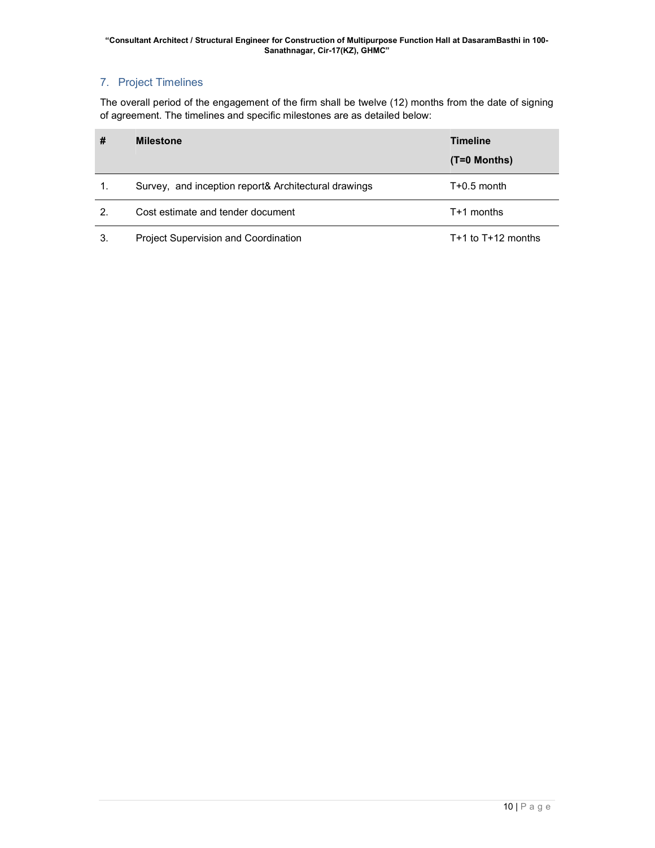# 7. Project Timelines

The overall period of the engagement of the firm shall be twelve (12) months from the date of signing of agreement. The timelines and specific milestones are as detailed below:

| #  | <b>Milestone</b>                                     | <b>Timeline</b><br>$(T=0$ Months) |
|----|------------------------------------------------------|-----------------------------------|
| 1. | Survey, and inception report& Architectural drawings | $T+0.5$ month                     |
| 2. | Cost estimate and tender document                    | $T+1$ months                      |
| 3. | <b>Project Supervision and Coordination</b>          | T+1 to $T+12$ months              |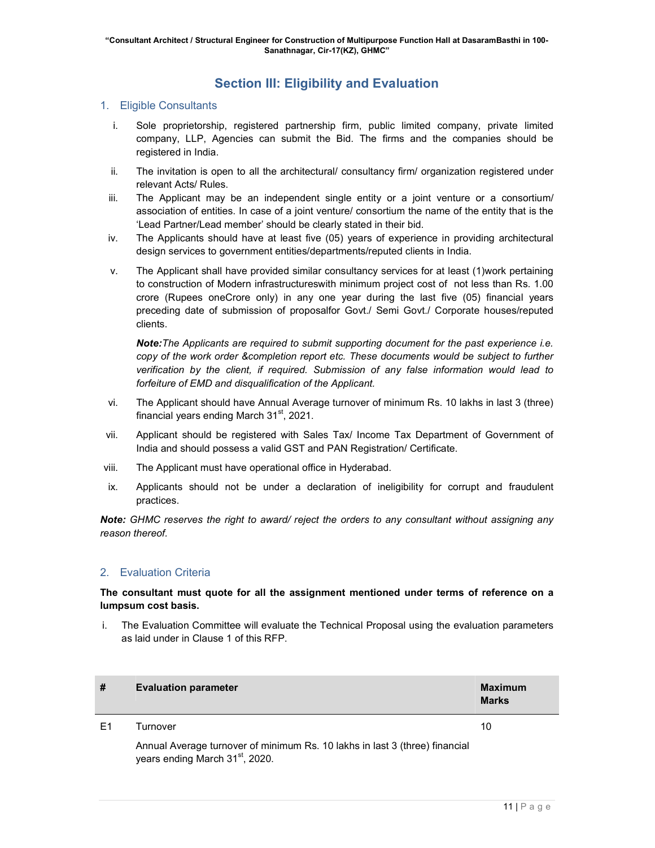# Section III: Eligibility and Evaluation

# 1. Eligible Consultants

- i. Sole proprietorship, registered partnership firm, public limited company, private limited company, LLP, Agencies can submit the Bid. The firms and the companies should be registered in India.
- ii. The invitation is open to all the architectural/ consultancy firm/ organization registered under relevant Acts/ Rules.
- iii. The Applicant may be an independent single entity or a joint venture or a consortium/ association of entities. In case of a joint venture/ consortium the name of the entity that is the 'Lead Partner/Lead member' should be clearly stated in their bid.
- iv. The Applicants should have at least five (05) years of experience in providing architectural design services to government entities/departments/reputed clients in India.
- v. The Applicant shall have provided similar consultancy services for at least (1)work pertaining to construction of Modern infrastructureswith minimum project cost of not less than Rs. 1.00 crore (Rupees oneCrore only) in any one year during the last five (05) financial years preceding date of submission of proposalfor Govt./ Semi Govt./ Corporate houses/reputed clients.

Note:The Applicants are required to submit supporting document for the past experience i.e. copy of the work order &completion report etc. These documents would be subject to further verification by the client, if required. Submission of any false information would lead to forfeiture of EMD and disqualification of the Applicant.

- vi. The Applicant should have Annual Average turnover of minimum Rs. 10 lakhs in last 3 (three) financial years ending March  $31<sup>st</sup>$ , 2021.
- vii. Applicant should be registered with Sales Tax/ Income Tax Department of Government of India and should possess a valid GST and PAN Registration/ Certificate.
- viii. The Applicant must have operational office in Hyderabad.
- ix. Applicants should not be under a declaration of ineligibility for corrupt and fraudulent practices.

Note: GHMC reserves the right to award/ reject the orders to any consultant without assigning any reason thereof.

# 2. Evaluation Criteria

# The consultant must quote for all the assignment mentioned under terms of reference on a lumpsum cost basis.

i. The Evaluation Committee will evaluate the Technical Proposal using the evaluation parameters as laid under in Clause 1 of this RFP.

| #  | <b>Evaluation parameter</b>                                                                                                | Maximum<br><b>Marks</b> |
|----|----------------------------------------------------------------------------------------------------------------------------|-------------------------|
| E1 | Turnover                                                                                                                   | 10                      |
|    | Annual Average turnover of minimum Rs. 10 lakhs in last 3 (three) financial<br>years ending March 31 <sup>st</sup> , 2020. |                         |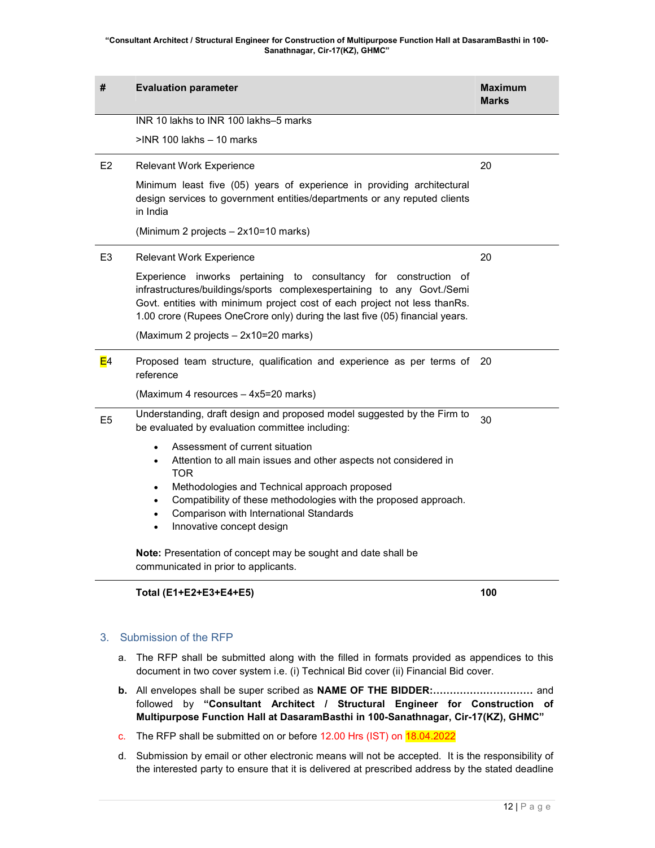#### "Consultant Architect / Structural Engineer for Construction of Multipurpose Function Hall at DasaramBasthi in 100- Sanathnagar, Cir-17(KZ), GHMC"

| #              | <b>Evaluation parameter</b>                                                                                                                                                                                                                                                                                                                                                                  | <b>Maximum</b><br><b>Marks</b> |  |  |
|----------------|----------------------------------------------------------------------------------------------------------------------------------------------------------------------------------------------------------------------------------------------------------------------------------------------------------------------------------------------------------------------------------------------|--------------------------------|--|--|
|                | INR 10 lakhs to INR 100 lakhs-5 marks                                                                                                                                                                                                                                                                                                                                                        |                                |  |  |
|                | $>$ INR 100 lakhs $-$ 10 marks                                                                                                                                                                                                                                                                                                                                                               |                                |  |  |
| E <sub>2</sub> | Relevant Work Experience                                                                                                                                                                                                                                                                                                                                                                     | 20                             |  |  |
|                | Minimum least five (05) years of experience in providing architectural<br>design services to government entities/departments or any reputed clients<br>in India                                                                                                                                                                                                                              |                                |  |  |
|                | (Minimum 2 projects - 2x10=10 marks)                                                                                                                                                                                                                                                                                                                                                         |                                |  |  |
| E3             | <b>Relevant Work Experience</b>                                                                                                                                                                                                                                                                                                                                                              | 20                             |  |  |
|                | Experience inworks pertaining to consultancy for construction of<br>infrastructures/buildings/sports complexespertaining to any Govt./Semi<br>Govt. entities with minimum project cost of each project not less thanRs.<br>1.00 crore (Rupees OneCrore only) during the last five (05) financial years.                                                                                      |                                |  |  |
|                | (Maximum 2 projects - 2x10=20 marks)                                                                                                                                                                                                                                                                                                                                                         |                                |  |  |
| E4             | Proposed team structure, qualification and experience as per terms of<br>20<br>reference                                                                                                                                                                                                                                                                                                     |                                |  |  |
|                | (Maximum 4 resources - 4x5=20 marks)                                                                                                                                                                                                                                                                                                                                                         |                                |  |  |
| E <sub>5</sub> | Understanding, draft design and proposed model suggested by the Firm to<br>be evaluated by evaluation committee including:                                                                                                                                                                                                                                                                   | 30                             |  |  |
|                | Assessment of current situation<br>$\bullet$<br>Attention to all main issues and other aspects not considered in<br>$\bullet$<br><b>TOR</b><br>Methodologies and Technical approach proposed<br>$\bullet$<br>Compatibility of these methodologies with the proposed approach.<br>$\bullet$<br>Comparison with International Standards<br>$\bullet$<br>Innovative concept design<br>$\bullet$ |                                |  |  |
|                | Note: Presentation of concept may be sought and date shall be<br>communicated in prior to applicants.                                                                                                                                                                                                                                                                                        |                                |  |  |

# Total (E1+E2+E3+E4+E5) 100

# 3. Submission of the RFP

- a. The RFP shall be submitted along with the filled in formats provided as appendices to this document in two cover system i.e. (i) Technical Bid cover (ii) Financial Bid cover.
- b. All envelopes shall be super scribed as NAME OF THE BIDDER:………………………… and followed by "Consultant Architect / Structural Engineer for Construction of Multipurpose Function Hall at DasaramBasthi in 100-Sanathnagar, Cir-17(KZ), GHMC"
- c. The RFP shall be submitted on or before 12.00 Hrs (IST) on 18.04.2022
- d. Submission by email or other electronic means will not be accepted. It is the responsibility of the interested party to ensure that it is delivered at prescribed address by the stated deadline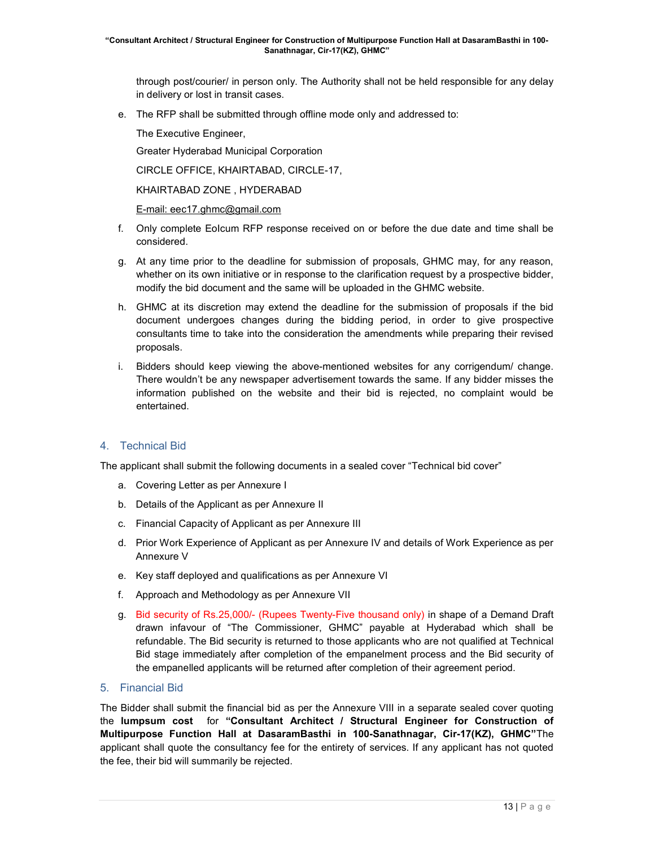through post/courier/ in person only. The Authority shall not be held responsible for any delay in delivery or lost in transit cases.

e. The RFP shall be submitted through offline mode only and addressed to:

The Executive Engineer,

Greater Hyderabad Municipal Corporation

CIRCLE OFFICE, KHAIRTABAD, CIRCLE-17,

KHAIRTABAD ZONE , HYDERABAD

E-mail: eec17.ghmc@gmail.com

- f. Only complete EoIcum RFP response received on or before the due date and time shall be considered.
- g. At any time prior to the deadline for submission of proposals, GHMC may, for any reason, whether on its own initiative or in response to the clarification request by a prospective bidder, modify the bid document and the same will be uploaded in the GHMC website.
- h. GHMC at its discretion may extend the deadline for the submission of proposals if the bid document undergoes changes during the bidding period, in order to give prospective consultants time to take into the consideration the amendments while preparing their revised proposals.
- i. Bidders should keep viewing the above-mentioned websites for any corrigendum/ change. There wouldn't be any newspaper advertisement towards the same. If any bidder misses the information published on the website and their bid is rejected, no complaint would be entertained.

# 4. Technical Bid

The applicant shall submit the following documents in a sealed cover "Technical bid cover"

- a. Covering Letter as per Annexure I
- b. Details of the Applicant as per Annexure II
- c. Financial Capacity of Applicant as per Annexure III
- d. Prior Work Experience of Applicant as per Annexure IV and details of Work Experience as per Annexure V
- e. Key staff deployed and qualifications as per Annexure VI
- f. Approach and Methodology as per Annexure VII
- g. Bid security of Rs.25,000/- (Rupees Twenty-Five thousand only) in shape of a Demand Draft drawn infavour of "The Commissioner, GHMC" payable at Hyderabad which shall be refundable. The Bid security is returned to those applicants who are not qualified at Technical Bid stage immediately after completion of the empanelment process and the Bid security of the empanelled applicants will be returned after completion of their agreement period.

# 5. Financial Bid

The Bidder shall submit the financial bid as per the Annexure VIII in a separate sealed cover quoting the lumpsum cost for "Consultant Architect / Structural Engineer for Construction of Multipurpose Function Hall at DasaramBasthi in 100-Sanathnagar, Cir-17(KZ), GHMC"The applicant shall quote the consultancy fee for the entirety of services. If any applicant has not quoted the fee, their bid will summarily be rejected.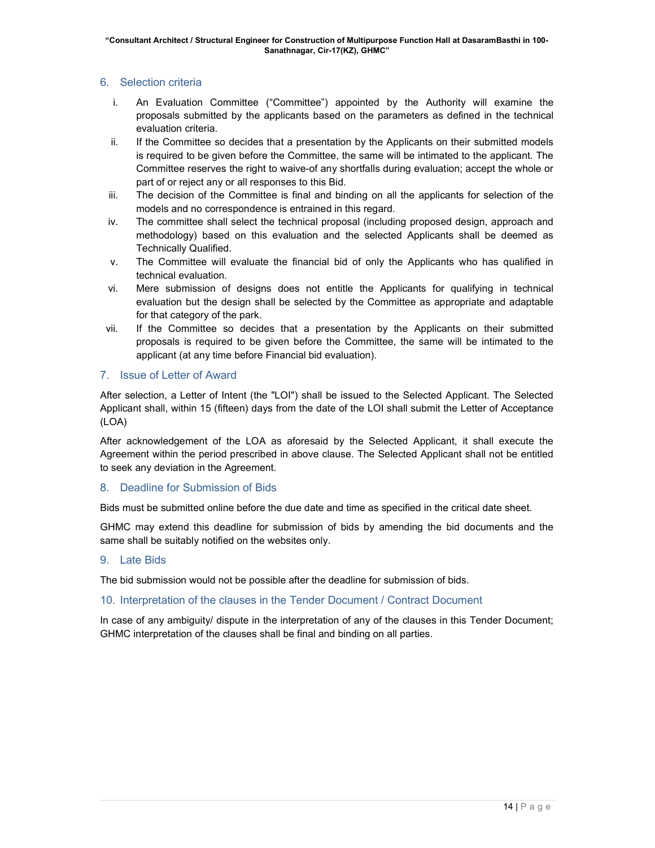# 6. Selection criteria

- i. An Evaluation Committee ("Committee") appointed by the Authority will examine the proposals submitted by the applicants based on the parameters as defined in the technical evaluation criteria.
- ii. If the Committee so decides that a presentation by the Applicants on their submitted models is required to be given before the Committee, the same will be intimated to the applicant. The Committee reserves the right to waive-of any shortfalls during evaluation; accept the whole or part of or reject any or all responses to this Bid.
- iii. The decision of the Committee is final and binding on all the applicants for selection of the models and no correspondence is entrained in this regard.
- iv. The committee shall select the technical proposal (including proposed design, approach and methodology) based on this evaluation and the selected Applicants shall be deemed as Technically Qualified.
- v. The Committee will evaluate the financial bid of only the Applicants who has qualified in technical evaluation.
- vi. Mere submission of designs does not entitle the Applicants for qualifying in technical evaluation but the design shall be selected by the Committee as appropriate and adaptable for that category of the park.
- vii. If the Committee so decides that a presentation by the Applicants on their submitted proposals is required to be given before the Committee, the same will be intimated to the applicant (at any time before Financial bid evaluation).

# 7. Issue of Letter of Award

After selection, a Letter of Intent (the "LOI") shall be issued to the Selected Applicant. The Selected Applicant shall, within 15 (fifteen) days from the date of the LOI shall submit the Letter of Acceptance (LOA)

After acknowledgement of the LOA as aforesaid by the Selected Applicant, it shall execute the Agreement within the period prescribed in above clause. The Selected Applicant shall not be entitled to seek any deviation in the Agreement.

# 8. Deadline for Submission of Bids

Bids must be submitted online before the due date and time as specified in the critical date sheet.

GHMC may extend this deadline for submission of bids by amending the bid documents and the same shall be suitably notified on the websites only.

# 9. Late Bids

The bid submission would not be possible after the deadline for submission of bids.

# 10. Interpretation of the clauses in the Tender Document / Contract Document

In case of any ambiguity/ dispute in the interpretation of any of the clauses in this Tender Document; GHMC interpretation of the clauses shall be final and binding on all parties.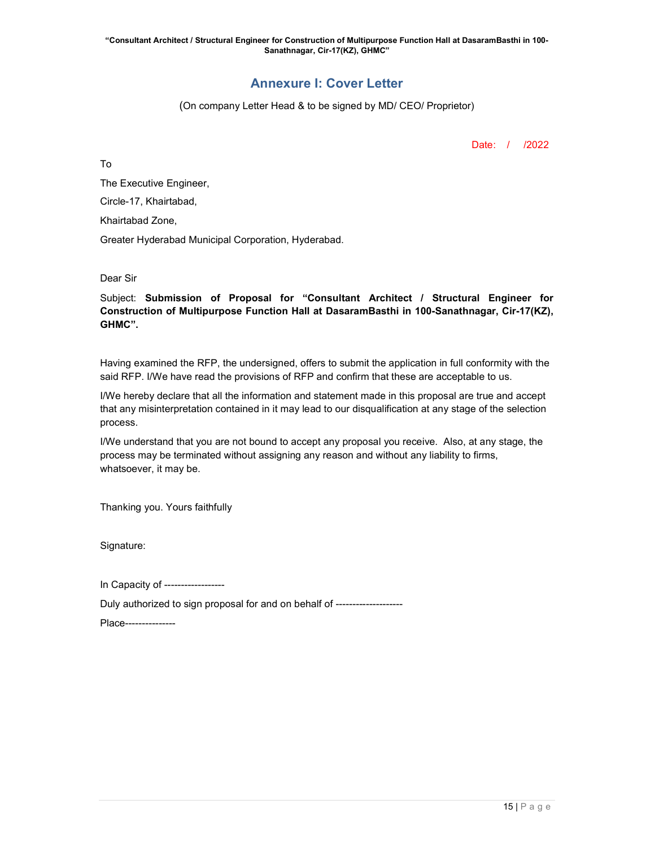# Annexure I: Cover Letter

(On company Letter Head & to be signed by MD/ CEO/ Proprietor)

Date: / /2022

To

The Executive Engineer, Circle-17, Khairtabad, Khairtabad Zone,

Greater Hyderabad Municipal Corporation, Hyderabad.

Dear Sir

Subject: Submission of Proposal for "Consultant Architect / Structural Engineer for Construction of Multipurpose Function Hall at DasaramBasthi in 100-Sanathnagar, Cir-17(KZ), GHMC".

Having examined the RFP, the undersigned, offers to submit the application in full conformity with the said RFP. I/We have read the provisions of RFP and confirm that these are acceptable to us.

I/We hereby declare that all the information and statement made in this proposal are true and accept that any misinterpretation contained in it may lead to our disqualification at any stage of the selection process.

I/We understand that you are not bound to accept any proposal you receive. Also, at any stage, the process may be terminated without assigning any reason and without any liability to firms, whatsoever, it may be.

Thanking you. Yours faithfully

Signature:

In Capacity of ------------------

Duly authorized to sign proposal for and on behalf of --------------------

Place---------------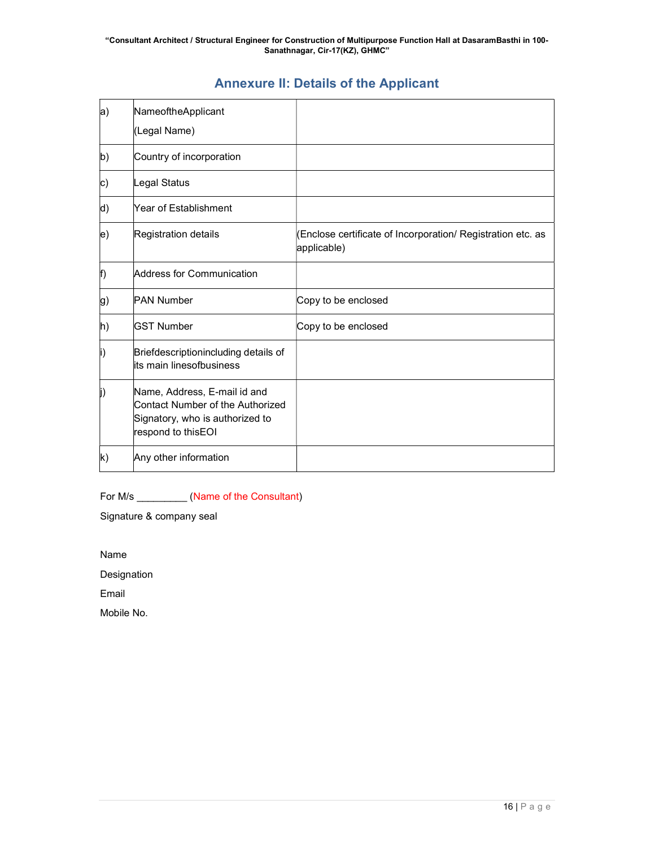# Annexure II: Details of the Applicant

| a)                 | NameoftheApplicant                                                                                                        |                                                                            |
|--------------------|---------------------------------------------------------------------------------------------------------------------------|----------------------------------------------------------------------------|
|                    | (Legal Name)                                                                                                              |                                                                            |
| b)                 | Country of incorporation                                                                                                  |                                                                            |
| c)                 | Legal Status                                                                                                              |                                                                            |
| d)                 | Year of Establishment                                                                                                     |                                                                            |
| $\ket{\mathrm{e}}$ | Registration details                                                                                                      | (Enclose certificate of Incorporation/ Registration etc. as<br>applicable) |
| f)                 | Address for Communication                                                                                                 |                                                                            |
| g)                 | <b>PAN Number</b>                                                                                                         | Copy to be enclosed                                                        |
| h)                 | <b>GST Number</b>                                                                                                         | Copy to be enclosed                                                        |
| li)                | Briefdescriptionincluding details of<br>lits main linesofbusiness                                                         |                                                                            |
| j)                 | Name, Address, E-mail id and<br>Contact Number of the Authorized<br>Signatory, who is authorized to<br>respond to thisEOI |                                                                            |
| $\mathsf{k}$       | Any other information                                                                                                     |                                                                            |

For M/s \_\_\_\_\_\_\_\_\_\_\_ (Name of the Consultant)

Signature & company seal

Name

Designation

Email

Mobile No.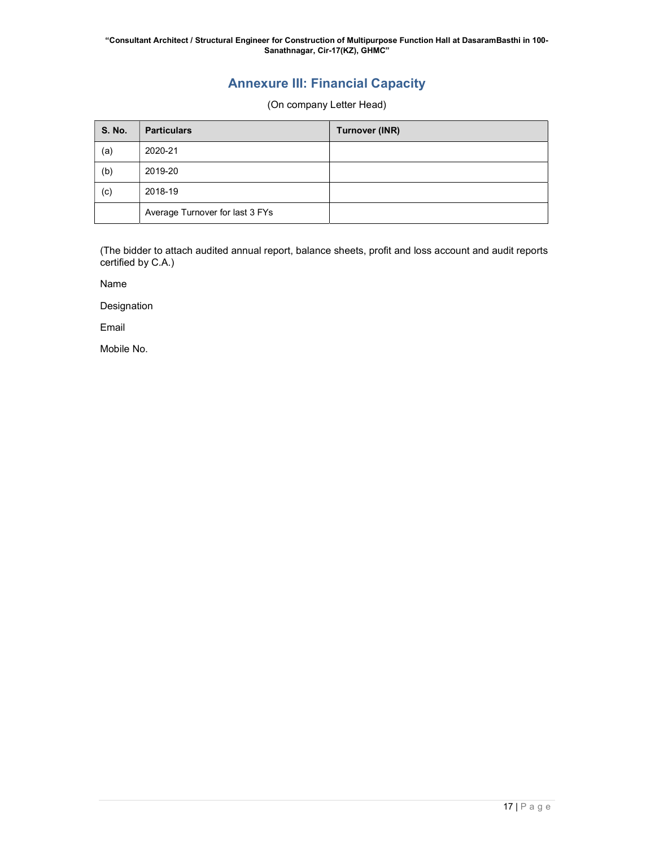# Annexure III: Financial Capacity

(On company Letter Head)

| <b>S. No.</b> | <b>Particulars</b>              | Turnover (INR) |
|---------------|---------------------------------|----------------|
| (a)           | 2020-21                         |                |
| (b)           | 2019-20                         |                |
| (c)           | 2018-19                         |                |
|               | Average Turnover for last 3 FYs |                |

(The bidder to attach audited annual report, balance sheets, profit and loss account and audit reports certified by C.A.)

Name

Designation

Email

Mobile No.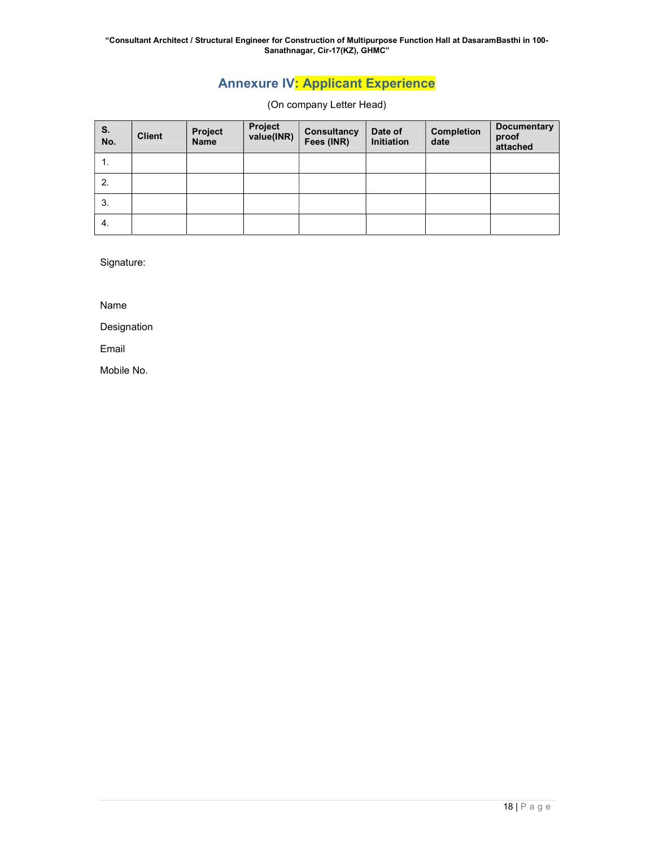"Consultant Architect / Structural Engineer for Construction of Multipurpose Function Hall at DasaramBasthi in 100- Sanathnagar, Cir-17(KZ), GHMC"

# Annexure IV: Applicant Experience

(On company Letter Head)

| S.<br>No. | <b>Client</b> | Project<br><b>Name</b> | Project<br>value(INR) | <b>Consultancy</b><br>Fees (INR) | Date of<br>Initiation | <b>Completion</b><br>date | <b>Documentary</b><br>proof<br>attached |
|-----------|---------------|------------------------|-----------------------|----------------------------------|-----------------------|---------------------------|-----------------------------------------|
| . .       |               |                        |                       |                                  |                       |                           |                                         |
| 2.        |               |                        |                       |                                  |                       |                           |                                         |
| 3.        |               |                        |                       |                                  |                       |                           |                                         |
| -4.       |               |                        |                       |                                  |                       |                           |                                         |

Signature:

Name

Designation

Email

Mobile No.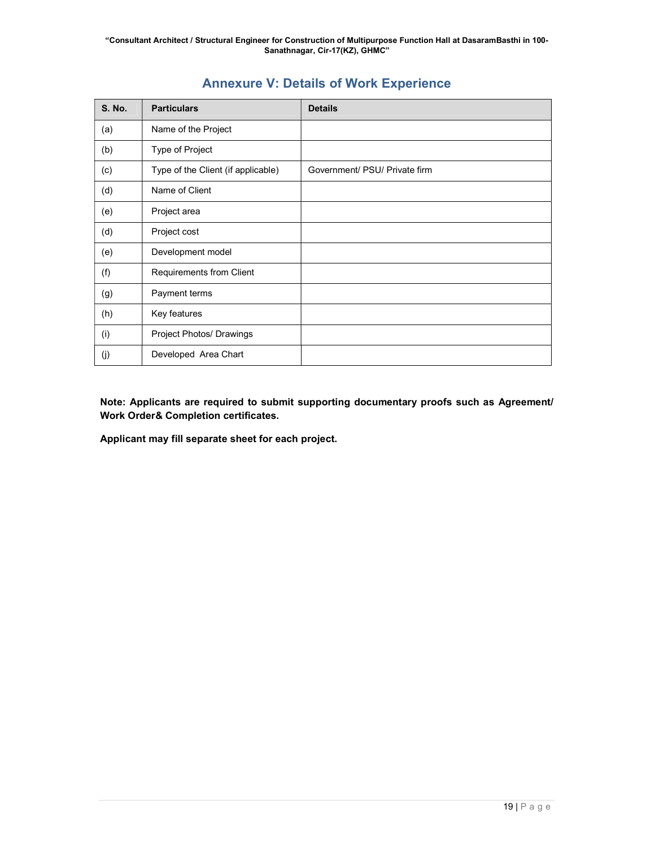| <b>S. No.</b> | <b>Particulars</b>                 | <b>Details</b>                |
|---------------|------------------------------------|-------------------------------|
| (a)           | Name of the Project                |                               |
| (b)           | Type of Project                    |                               |
| (c)           | Type of the Client (if applicable) | Government/ PSU/ Private firm |
| (d)           | Name of Client                     |                               |
| (e)           | Project area                       |                               |
| (d)           | Project cost                       |                               |
| (e)           | Development model                  |                               |
| (f)           | Requirements from Client           |                               |
| (g)           | Payment terms                      |                               |
| (h)           | Key features                       |                               |
| (i)           | Project Photos/ Drawings           |                               |
| (j)           | Developed Area Chart               |                               |

# Annexure V: Details of Work Experience

Note: Applicants are required to submit supporting documentary proofs such as Agreement/ Work Order& Completion certificates.

Applicant may fill separate sheet for each project.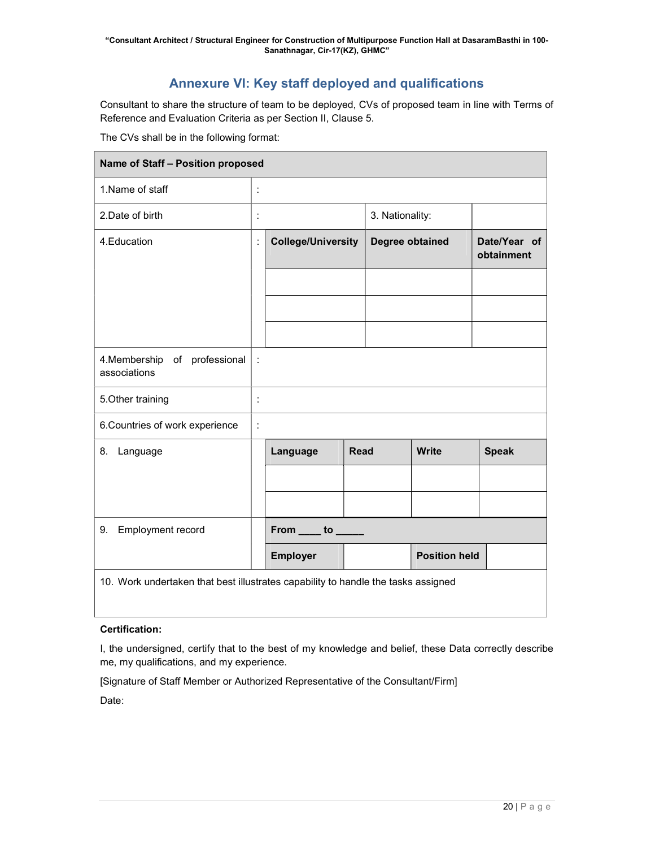# Annexure VI: Key staff deployed and qualifications

Consultant to share the structure of team to be deployed, CVs of proposed team in line with Terms of Reference and Evaluation Criteria as per Section II, Clause 5.

The CVs shall be in the following format:

| Name of Staff - Position proposed                                                 |                      |                                                   |             |                 |                      |                            |  |
|-----------------------------------------------------------------------------------|----------------------|---------------------------------------------------|-------------|-----------------|----------------------|----------------------------|--|
| 1. Name of staff                                                                  | ÷                    |                                                   |             |                 |                      |                            |  |
| 2.Date of birth                                                                   | ÷                    |                                                   |             | 3. Nationality: |                      |                            |  |
| 4. Education                                                                      | ÷                    | <b>College/University</b>                         |             | Degree obtained |                      | Date/Year of<br>obtainment |  |
|                                                                                   |                      |                                                   |             |                 |                      |                            |  |
|                                                                                   |                      |                                                   |             |                 |                      |                            |  |
|                                                                                   |                      |                                                   |             |                 |                      |                            |  |
| 4. Membership of professional<br>associations                                     | $\ddot{\phantom{a}}$ |                                                   |             |                 |                      |                            |  |
| 5. Other training                                                                 | $\ddot{\cdot}$       |                                                   |             |                 |                      |                            |  |
| 6. Countries of work experience                                                   | t.                   |                                                   |             |                 |                      |                            |  |
| 8. Language                                                                       |                      | Language                                          | <b>Read</b> |                 | <b>Write</b>         | <b>Speak</b>               |  |
|                                                                                   |                      |                                                   |             |                 |                      |                            |  |
|                                                                                   |                      |                                                   |             |                 |                      |                            |  |
| Employment record<br>9.                                                           |                      | From $\rule{1em}{0.15mm}$ to $\rule{1em}{0.15mm}$ |             |                 |                      |                            |  |
|                                                                                   |                      | <b>Employer</b>                                   |             |                 | <b>Position held</b> |                            |  |
| 10. Work undertaken that best illustrates capability to handle the tasks assigned |                      |                                                   |             |                 |                      |                            |  |

# Certification:

I, the undersigned, certify that to the best of my knowledge and belief, these Data correctly describe me, my qualifications, and my experience.

[Signature of Staff Member or Authorized Representative of the Consultant/Firm]

Date: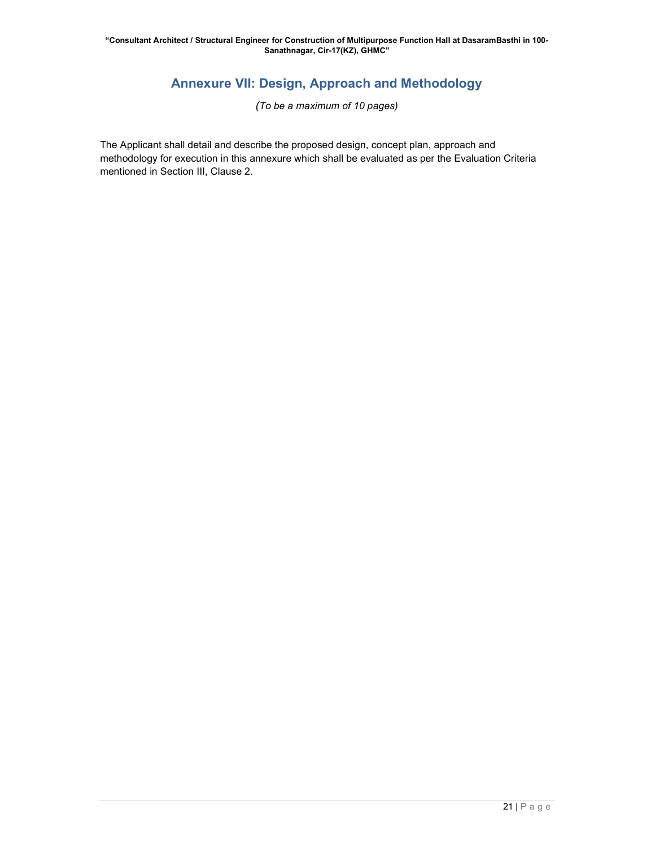# Annexure VII: Design, Approach and Methodology

(To be a maximum of 10 pages)

The Applicant shall detail and describe the proposed design, concept plan, approach and methodology for execution in this annexure which shall be evaluated as per the Evaluation Criteria mentioned in Section III, Clause 2.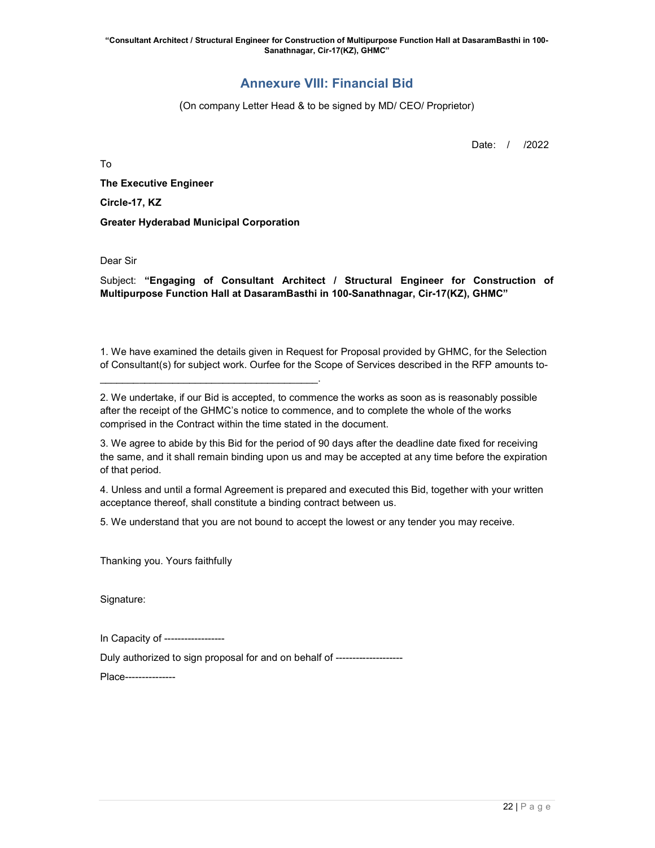# Annexure VIII: Financial Bid

(On company Letter Head & to be signed by MD/ CEO/ Proprietor)

Date: / /2022

To

The Executive Engineer Circle-17, KZ Greater Hyderabad Municipal Corporation

 $\mathcal{L}_\text{max}$  and  $\mathcal{L}_\text{max}$  and  $\mathcal{L}_\text{max}$  and  $\mathcal{L}_\text{max}$  and  $\mathcal{L}_\text{max}$ 

Dear Sir

Subject: "Engaging of Consultant Architect / Structural Engineer for Construction of Multipurpose Function Hall at DasaramBasthi in 100-Sanathnagar, Cir-17(KZ), GHMC"

1. We have examined the details given in Request for Proposal provided by GHMC, for the Selection of Consultant(s) for subject work. Ourfee for the Scope of Services described in the RFP amounts to-

2. We undertake, if our Bid is accepted, to commence the works as soon as is reasonably possible after the receipt of the GHMC's notice to commence, and to complete the whole of the works comprised in the Contract within the time stated in the document.

3. We agree to abide by this Bid for the period of 90 days after the deadline date fixed for receiving the same, and it shall remain binding upon us and may be accepted at any time before the expiration of that period.

4. Unless and until a formal Agreement is prepared and executed this Bid, together with your written acceptance thereof, shall constitute a binding contract between us.

5. We understand that you are not bound to accept the lowest or any tender you may receive.

Thanking you. Yours faithfully

Signature:

In Capacity of ------------------

Duly authorized to sign proposal for and on behalf of --------------------

Place---------------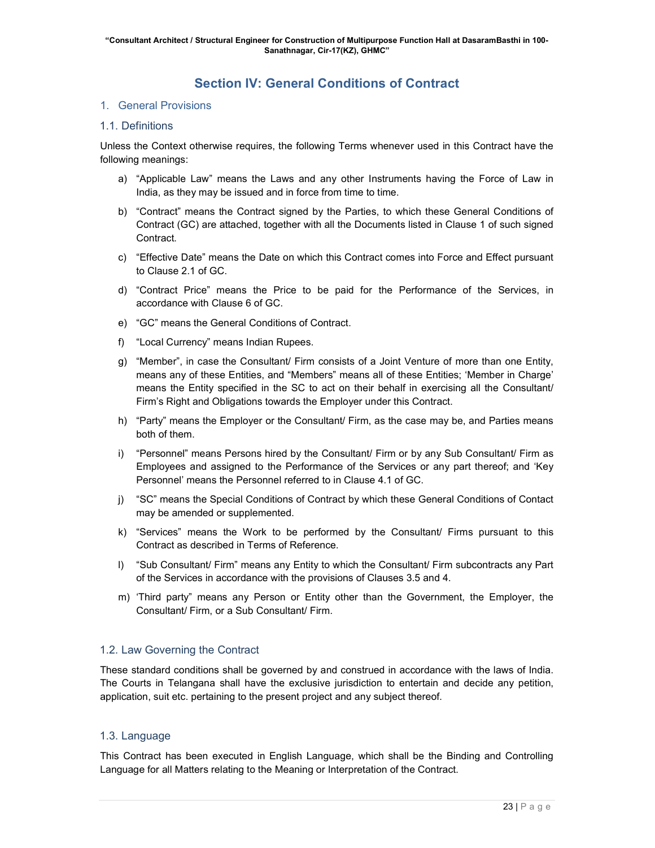# Section IV: General Conditions of Contract

# 1. General Provisions

# 1.1. Definitions

Unless the Context otherwise requires, the following Terms whenever used in this Contract have the following meanings:

- a) "Applicable Law" means the Laws and any other Instruments having the Force of Law in India, as they may be issued and in force from time to time.
- b) "Contract" means the Contract signed by the Parties, to which these General Conditions of Contract (GC) are attached, together with all the Documents listed in Clause 1 of such signed Contract.
- c) "Effective Date" means the Date on which this Contract comes into Force and Effect pursuant to Clause 2.1 of GC.
- d) "Contract Price" means the Price to be paid for the Performance of the Services, in accordance with Clause 6 of GC.
- e) "GC" means the General Conditions of Contract.
- f) "Local Currency" means Indian Rupees.
- g) "Member", in case the Consultant/ Firm consists of a Joint Venture of more than one Entity, means any of these Entities, and "Members" means all of these Entities; 'Member in Charge' means the Entity specified in the SC to act on their behalf in exercising all the Consultant/ Firm's Right and Obligations towards the Employer under this Contract.
- h) "Party" means the Employer or the Consultant/ Firm, as the case may be, and Parties means both of them.
- i) "Personnel" means Persons hired by the Consultant/ Firm or by any Sub Consultant/ Firm as Employees and assigned to the Performance of the Services or any part thereof; and 'Key Personnel' means the Personnel referred to in Clause 4.1 of GC.
- j) "SC" means the Special Conditions of Contract by which these General Conditions of Contact may be amended or supplemented.
- k) "Services" means the Work to be performed by the Consultant/ Firms pursuant to this Contract as described in Terms of Reference.
- l) "Sub Consultant/ Firm" means any Entity to which the Consultant/ Firm subcontracts any Part of the Services in accordance with the provisions of Clauses 3.5 and 4.
- m) 'Third party" means any Person or Entity other than the Government, the Employer, the Consultant/ Firm, or a Sub Consultant/ Firm.

# 1.2. Law Governing the Contract

These standard conditions shall be governed by and construed in accordance with the laws of India. The Courts in Telangana shall have the exclusive jurisdiction to entertain and decide any petition, application, suit etc. pertaining to the present project and any subject thereof.

# 1.3. Language

This Contract has been executed in English Language, which shall be the Binding and Controlling Language for all Matters relating to the Meaning or Interpretation of the Contract.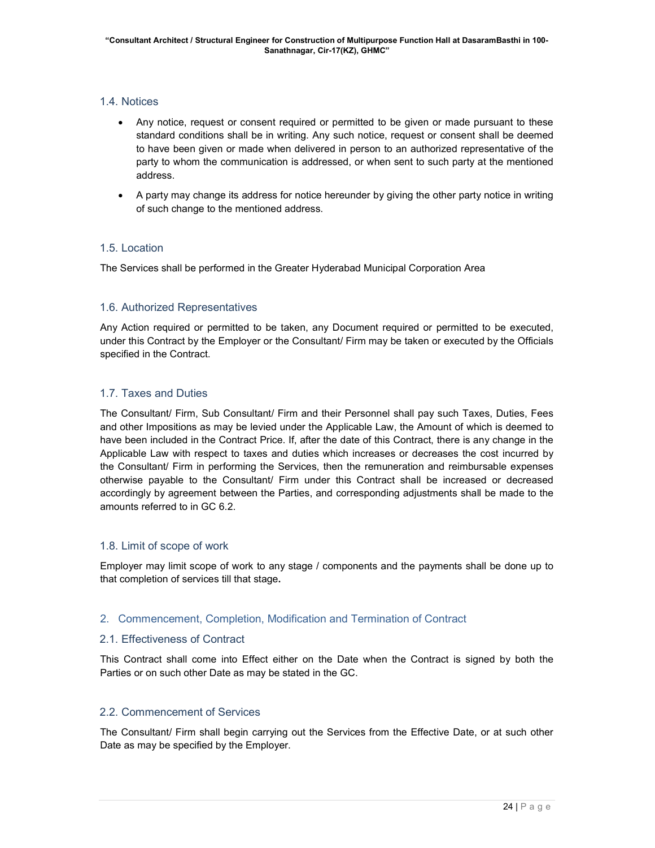# 1.4. Notices

- Any notice, request or consent required or permitted to be given or made pursuant to these standard conditions shall be in writing. Any such notice, request or consent shall be deemed to have been given or made when delivered in person to an authorized representative of the party to whom the communication is addressed, or when sent to such party at the mentioned address.
- A party may change its address for notice hereunder by giving the other party notice in writing of such change to the mentioned address.

# 1.5. Location

The Services shall be performed in the Greater Hyderabad Municipal Corporation Area

# 1.6. Authorized Representatives

Any Action required or permitted to be taken, any Document required or permitted to be executed, under this Contract by the Employer or the Consultant/ Firm may be taken or executed by the Officials specified in the Contract.

# 1.7. Taxes and Duties

The Consultant/ Firm, Sub Consultant/ Firm and their Personnel shall pay such Taxes, Duties, Fees and other Impositions as may be levied under the Applicable Law, the Amount of which is deemed to have been included in the Contract Price. If, after the date of this Contract, there is any change in the Applicable Law with respect to taxes and duties which increases or decreases the cost incurred by the Consultant/ Firm in performing the Services, then the remuneration and reimbursable expenses otherwise payable to the Consultant/ Firm under this Contract shall be increased or decreased accordingly by agreement between the Parties, and corresponding adjustments shall be made to the amounts referred to in GC 6.2.

# 1.8. Limit of scope of work

Employer may limit scope of work to any stage / components and the payments shall be done up to that completion of services till that stage.

# 2. Commencement, Completion, Modification and Termination of Contract

# 2.1. Effectiveness of Contract

This Contract shall come into Effect either on the Date when the Contract is signed by both the Parties or on such other Date as may be stated in the GC.

# 2.2. Commencement of Services

The Consultant/ Firm shall begin carrying out the Services from the Effective Date, or at such other Date as may be specified by the Employer.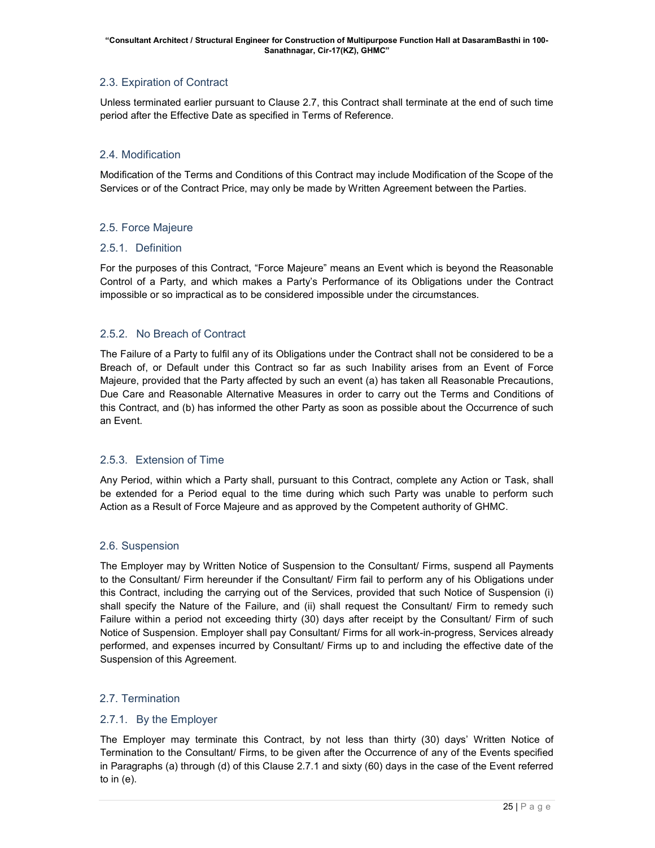# 2.3. Expiration of Contract

Unless terminated earlier pursuant to Clause 2.7, this Contract shall terminate at the end of such time period after the Effective Date as specified in Terms of Reference.

# 2.4. Modification

Modification of the Terms and Conditions of this Contract may include Modification of the Scope of the Services or of the Contract Price, may only be made by Written Agreement between the Parties.

# 2.5. Force Majeure

# 2.5.1. Definition

For the purposes of this Contract, "Force Majeure" means an Event which is beyond the Reasonable Control of a Party, and which makes a Party's Performance of its Obligations under the Contract impossible or so impractical as to be considered impossible under the circumstances.

# 2.5.2. No Breach of Contract

The Failure of a Party to fulfil any of its Obligations under the Contract shall not be considered to be a Breach of, or Default under this Contract so far as such Inability arises from an Event of Force Majeure, provided that the Party affected by such an event (a) has taken all Reasonable Precautions, Due Care and Reasonable Alternative Measures in order to carry out the Terms and Conditions of this Contract, and (b) has informed the other Party as soon as possible about the Occurrence of such an Event.

# 2.5.3. Extension of Time

Any Period, within which a Party shall, pursuant to this Contract, complete any Action or Task, shall be extended for a Period equal to the time during which such Party was unable to perform such Action as a Result of Force Majeure and as approved by the Competent authority of GHMC.

# 2.6. Suspension

The Employer may by Written Notice of Suspension to the Consultant/ Firms, suspend all Payments to the Consultant/ Firm hereunder if the Consultant/ Firm fail to perform any of his Obligations under this Contract, including the carrying out of the Services, provided that such Notice of Suspension (i) shall specify the Nature of the Failure, and (ii) shall request the Consultant/ Firm to remedy such Failure within a period not exceeding thirty (30) days after receipt by the Consultant/ Firm of such Notice of Suspension. Employer shall pay Consultant/ Firms for all work-in-progress, Services already performed, and expenses incurred by Consultant/ Firms up to and including the effective date of the Suspension of this Agreement.

# 2.7. Termination

# 2.7.1. By the Employer

The Employer may terminate this Contract, by not less than thirty (30) days' Written Notice of Termination to the Consultant/ Firms, to be given after the Occurrence of any of the Events specified in Paragraphs (a) through (d) of this Clause 2.7.1 and sixty (60) days in the case of the Event referred to in (e).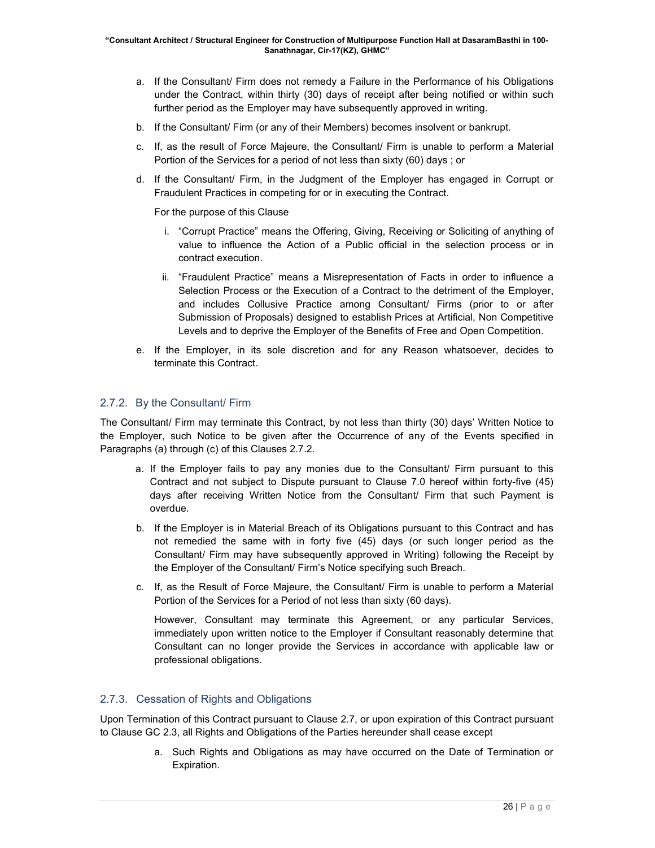- a. If the Consultant/ Firm does not remedy a Failure in the Performance of his Obligations under the Contract, within thirty (30) days of receipt after being notified or within such further period as the Employer may have subsequently approved in writing.
- b. If the Consultant/ Firm (or any of their Members) becomes insolvent or bankrupt.
- c. If, as the result of Force Majeure, the Consultant/ Firm is unable to perform a Material Portion of the Services for a period of not less than sixty (60) days ; or
- d. If the Consultant/ Firm, in the Judgment of the Employer has engaged in Corrupt or Fraudulent Practices in competing for or in executing the Contract.

For the purpose of this Clause

- i. "Corrupt Practice" means the Offering, Giving, Receiving or Soliciting of anything of value to influence the Action of a Public official in the selection process or in contract execution.
- ii. "Fraudulent Practice" means a Misrepresentation of Facts in order to influence a Selection Process or the Execution of a Contract to the detriment of the Employer, and includes Collusive Practice among Consultant/ Firms (prior to or after Submission of Proposals) designed to establish Prices at Artificial, Non Competitive Levels and to deprive the Employer of the Benefits of Free and Open Competition.
- e. If the Employer, in its sole discretion and for any Reason whatsoever, decides to terminate this Contract.

# 2.7.2. By the Consultant/ Firm

The Consultant/ Firm may terminate this Contract, by not less than thirty (30) days' Written Notice to the Employer, such Notice to be given after the Occurrence of any of the Events specified in Paragraphs (a) through (c) of this Clauses 2.7.2.

- a. If the Employer fails to pay any monies due to the Consultant/ Firm pursuant to this Contract and not subject to Dispute pursuant to Clause 7.0 hereof within forty-five (45) days after receiving Written Notice from the Consultant/ Firm that such Payment is overdue.
- b. If the Employer is in Material Breach of its Obligations pursuant to this Contract and has not remedied the same with in forty five (45) days (or such longer period as the Consultant/ Firm may have subsequently approved in Writing) following the Receipt by the Employer of the Consultant/ Firm's Notice specifying such Breach.
- c. If, as the Result of Force Majeure, the Consultant/ Firm is unable to perform a Material Portion of the Services for a Period of not less than sixty (60 days).

However, Consultant may terminate this Agreement, or any particular Services, immediately upon written notice to the Employer if Consultant reasonably determine that Consultant can no longer provide the Services in accordance with applicable law or professional obligations.

# 2.7.3. Cessation of Rights and Obligations

Upon Termination of this Contract pursuant to Clause 2.7, or upon expiration of this Contract pursuant to Clause GC 2.3, all Rights and Obligations of the Parties hereunder shall cease except

> a. Such Rights and Obligations as may have occurred on the Date of Termination or Expiration.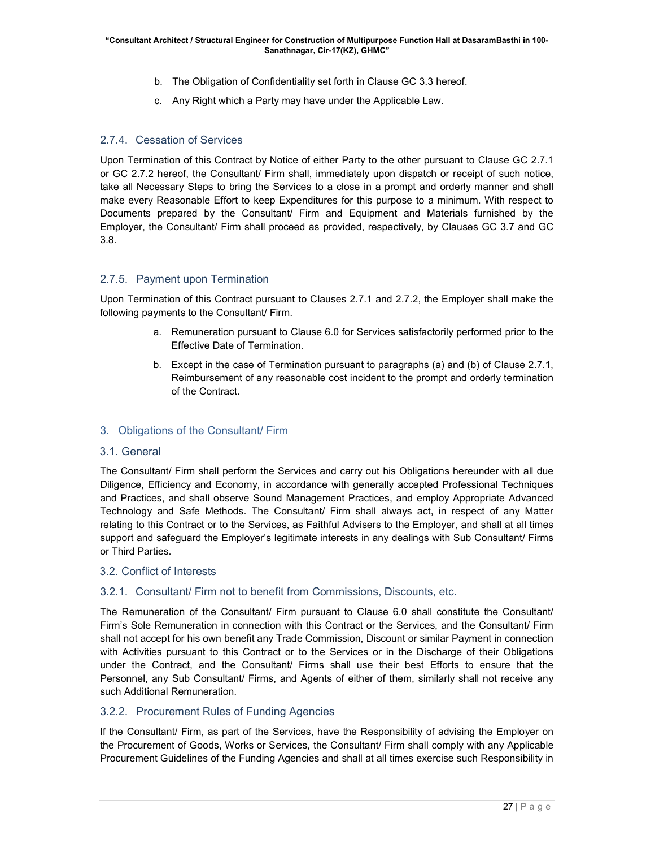- b. The Obligation of Confidentiality set forth in Clause GC 3.3 hereof.
- c. Any Right which a Party may have under the Applicable Law.

# 2.7.4. Cessation of Services

Upon Termination of this Contract by Notice of either Party to the other pursuant to Clause GC 2.7.1 or GC 2.7.2 hereof, the Consultant/ Firm shall, immediately upon dispatch or receipt of such notice, take all Necessary Steps to bring the Services to a close in a prompt and orderly manner and shall make every Reasonable Effort to keep Expenditures for this purpose to a minimum. With respect to Documents prepared by the Consultant/ Firm and Equipment and Materials furnished by the Employer, the Consultant/ Firm shall proceed as provided, respectively, by Clauses GC 3.7 and GC 3.8.

# 2.7.5. Payment upon Termination

Upon Termination of this Contract pursuant to Clauses 2.7.1 and 2.7.2, the Employer shall make the following payments to the Consultant/ Firm.

- a. Remuneration pursuant to Clause 6.0 for Services satisfactorily performed prior to the Effective Date of Termination.
- b. Except in the case of Termination pursuant to paragraphs (a) and (b) of Clause 2.7.1, Reimbursement of any reasonable cost incident to the prompt and orderly termination of the Contract.

# 3. Obligations of the Consultant/ Firm

#### 3.1. General

The Consultant/ Firm shall perform the Services and carry out his Obligations hereunder with all due Diligence, Efficiency and Economy, in accordance with generally accepted Professional Techniques and Practices, and shall observe Sound Management Practices, and employ Appropriate Advanced Technology and Safe Methods. The Consultant/ Firm shall always act, in respect of any Matter relating to this Contract or to the Services, as Faithful Advisers to the Employer, and shall at all times support and safeguard the Employer's legitimate interests in any dealings with Sub Consultant/ Firms or Third Parties.

#### 3.2. Conflict of Interests

# 3.2.1. Consultant/ Firm not to benefit from Commissions, Discounts, etc.

The Remuneration of the Consultant/ Firm pursuant to Clause 6.0 shall constitute the Consultant/ Firm's Sole Remuneration in connection with this Contract or the Services, and the Consultant/ Firm shall not accept for his own benefit any Trade Commission, Discount or similar Payment in connection with Activities pursuant to this Contract or to the Services or in the Discharge of their Obligations under the Contract, and the Consultant/ Firms shall use their best Efforts to ensure that the Personnel, any Sub Consultant/ Firms, and Agents of either of them, similarly shall not receive any such Additional Remuneration.

# 3.2.2. Procurement Rules of Funding Agencies

If the Consultant/ Firm, as part of the Services, have the Responsibility of advising the Employer on the Procurement of Goods, Works or Services, the Consultant/ Firm shall comply with any Applicable Procurement Guidelines of the Funding Agencies and shall at all times exercise such Responsibility in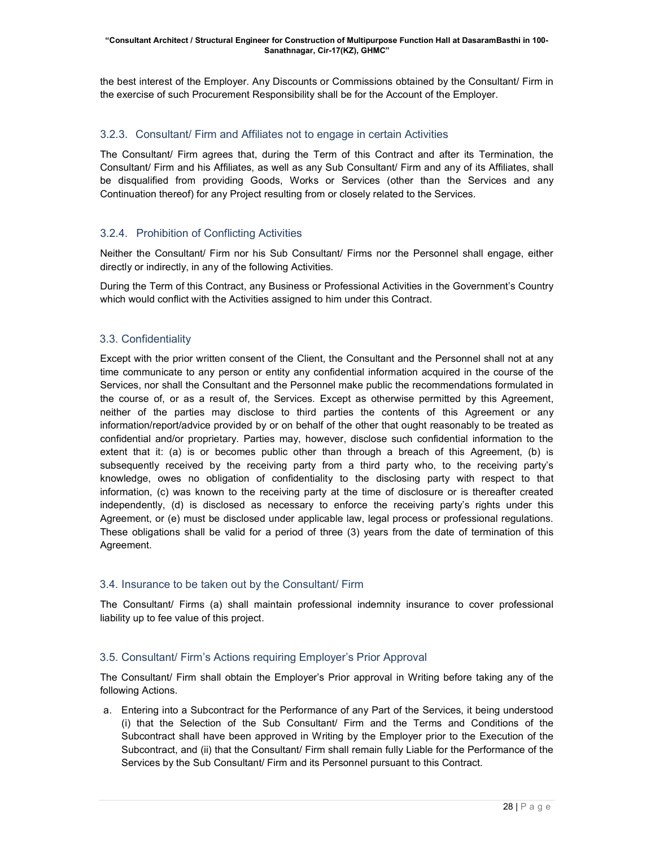the best interest of the Employer. Any Discounts or Commissions obtained by the Consultant/ Firm in the exercise of such Procurement Responsibility shall be for the Account of the Employer.

# 3.2.3. Consultant/ Firm and Affiliates not to engage in certain Activities

The Consultant/ Firm agrees that, during the Term of this Contract and after its Termination, the Consultant/ Firm and his Affiliates, as well as any Sub Consultant/ Firm and any of its Affiliates, shall be disqualified from providing Goods, Works or Services (other than the Services and any Continuation thereof) for any Project resulting from or closely related to the Services.

# 3.2.4. Prohibition of Conflicting Activities

Neither the Consultant/ Firm nor his Sub Consultant/ Firms nor the Personnel shall engage, either directly or indirectly, in any of the following Activities.

During the Term of this Contract, any Business or Professional Activities in the Government's Country which would conflict with the Activities assigned to him under this Contract.

# 3.3. Confidentiality

Except with the prior written consent of the Client, the Consultant and the Personnel shall not at any time communicate to any person or entity any confidential information acquired in the course of the Services, nor shall the Consultant and the Personnel make public the recommendations formulated in the course of, or as a result of, the Services. Except as otherwise permitted by this Agreement, neither of the parties may disclose to third parties the contents of this Agreement or any information/report/advice provided by or on behalf of the other that ought reasonably to be treated as confidential and/or proprietary. Parties may, however, disclose such confidential information to the extent that it: (a) is or becomes public other than through a breach of this Agreement, (b) is subsequently received by the receiving party from a third party who, to the receiving party's knowledge, owes no obligation of confidentiality to the disclosing party with respect to that information, (c) was known to the receiving party at the time of disclosure or is thereafter created independently, (d) is disclosed as necessary to enforce the receiving party's rights under this Agreement, or (e) must be disclosed under applicable law, legal process or professional regulations. These obligations shall be valid for a period of three (3) years from the date of termination of this Agreement.

# 3.4. Insurance to be taken out by the Consultant/ Firm

The Consultant/ Firms (a) shall maintain professional indemnity insurance to cover professional liability up to fee value of this project.

# 3.5. Consultant/ Firm's Actions requiring Employer's Prior Approval

The Consultant/ Firm shall obtain the Employer's Prior approval in Writing before taking any of the following Actions.

a. Entering into a Subcontract for the Performance of any Part of the Services, it being understood (i) that the Selection of the Sub Consultant/ Firm and the Terms and Conditions of the Subcontract shall have been approved in Writing by the Employer prior to the Execution of the Subcontract, and (ii) that the Consultant/ Firm shall remain fully Liable for the Performance of the Services by the Sub Consultant/ Firm and its Personnel pursuant to this Contract.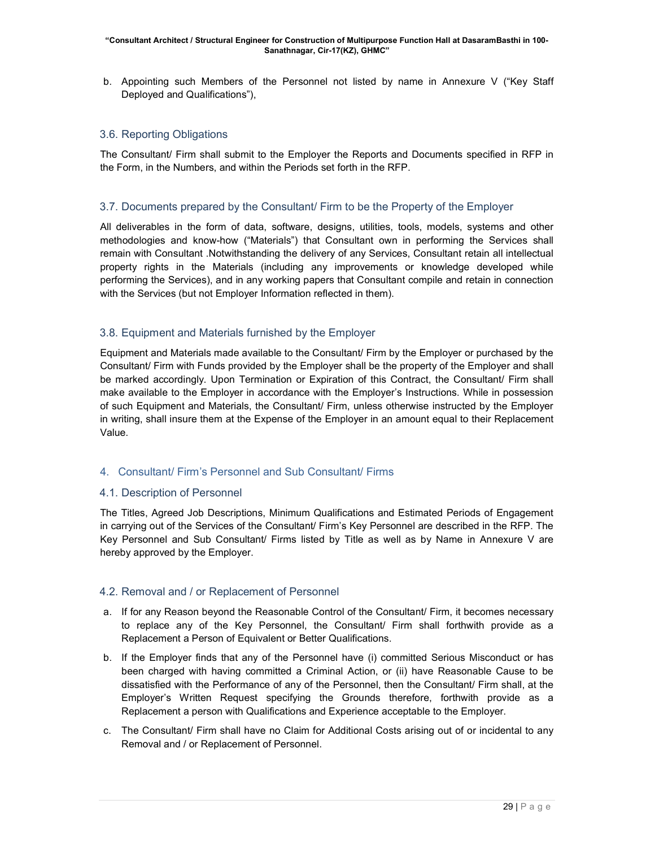b. Appointing such Members of the Personnel not listed by name in Annexure V ("Key Staff Deployed and Qualifications"),

# 3.6. Reporting Obligations

The Consultant/ Firm shall submit to the Employer the Reports and Documents specified in RFP in the Form, in the Numbers, and within the Periods set forth in the RFP.

# 3.7. Documents prepared by the Consultant/ Firm to be the Property of the Employer

All deliverables in the form of data, software, designs, utilities, tools, models, systems and other methodologies and know-how ("Materials") that Consultant own in performing the Services shall remain with Consultant .Notwithstanding the delivery of any Services, Consultant retain all intellectual property rights in the Materials (including any improvements or knowledge developed while performing the Services), and in any working papers that Consultant compile and retain in connection with the Services (but not Employer Information reflected in them).

# 3.8. Equipment and Materials furnished by the Employer

Equipment and Materials made available to the Consultant/ Firm by the Employer or purchased by the Consultant/ Firm with Funds provided by the Employer shall be the property of the Employer and shall be marked accordingly. Upon Termination or Expiration of this Contract, the Consultant/ Firm shall make available to the Employer in accordance with the Employer's Instructions. While in possession of such Equipment and Materials, the Consultant/ Firm, unless otherwise instructed by the Employer in writing, shall insure them at the Expense of the Employer in an amount equal to their Replacement Value.

# 4. Consultant/ Firm's Personnel and Sub Consultant/ Firms

# 4.1. Description of Personnel

The Titles, Agreed Job Descriptions, Minimum Qualifications and Estimated Periods of Engagement in carrying out of the Services of the Consultant/ Firm's Key Personnel are described in the RFP. The Key Personnel and Sub Consultant/ Firms listed by Title as well as by Name in Annexure V are hereby approved by the Employer.

# 4.2. Removal and / or Replacement of Personnel

- a. If for any Reason beyond the Reasonable Control of the Consultant/ Firm, it becomes necessary to replace any of the Key Personnel, the Consultant/ Firm shall forthwith provide as a Replacement a Person of Equivalent or Better Qualifications.
- b. If the Employer finds that any of the Personnel have (i) committed Serious Misconduct or has been charged with having committed a Criminal Action, or (ii) have Reasonable Cause to be dissatisfied with the Performance of any of the Personnel, then the Consultant/ Firm shall, at the Employer's Written Request specifying the Grounds therefore, forthwith provide as a Replacement a person with Qualifications and Experience acceptable to the Employer.
- c. The Consultant/ Firm shall have no Claim for Additional Costs arising out of or incidental to any Removal and / or Replacement of Personnel.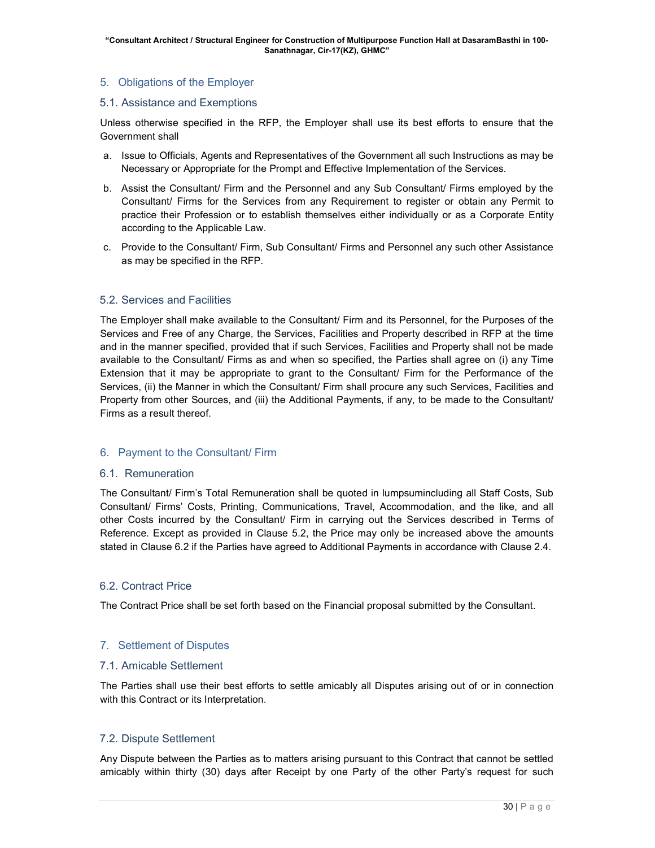# 5. Obligations of the Employer

#### 5.1. Assistance and Exemptions

Unless otherwise specified in the RFP, the Employer shall use its best efforts to ensure that the Government shall

- a. Issue to Officials, Agents and Representatives of the Government all such Instructions as may be Necessary or Appropriate for the Prompt and Effective Implementation of the Services.
- b. Assist the Consultant/ Firm and the Personnel and any Sub Consultant/ Firms employed by the Consultant/ Firms for the Services from any Requirement to register or obtain any Permit to practice their Profession or to establish themselves either individually or as a Corporate Entity according to the Applicable Law.
- c. Provide to the Consultant/ Firm, Sub Consultant/ Firms and Personnel any such other Assistance as may be specified in the RFP.

# 5.2. Services and Facilities

The Employer shall make available to the Consultant/ Firm and its Personnel, for the Purposes of the Services and Free of any Charge, the Services, Facilities and Property described in RFP at the time and in the manner specified, provided that if such Services, Facilities and Property shall not be made available to the Consultant/ Firms as and when so specified, the Parties shall agree on (i) any Time Extension that it may be appropriate to grant to the Consultant/ Firm for the Performance of the Services, (ii) the Manner in which the Consultant/ Firm shall procure any such Services, Facilities and Property from other Sources, and (iii) the Additional Payments, if any, to be made to the Consultant/ Firms as a result thereof.

# 6. Payment to the Consultant/ Firm

#### 6.1. Remuneration

The Consultant/ Firm's Total Remuneration shall be quoted in lumpsumincluding all Staff Costs, Sub Consultant/ Firms' Costs, Printing, Communications, Travel, Accommodation, and the like, and all other Costs incurred by the Consultant/ Firm in carrying out the Services described in Terms of Reference. Except as provided in Clause 5.2, the Price may only be increased above the amounts stated in Clause 6.2 if the Parties have agreed to Additional Payments in accordance with Clause 2.4.

# 6.2. Contract Price

The Contract Price shall be set forth based on the Financial proposal submitted by the Consultant.

# 7. Settlement of Disputes

#### 7.1. Amicable Settlement

The Parties shall use their best efforts to settle amicably all Disputes arising out of or in connection with this Contract or its Interpretation.

# 7.2. Dispute Settlement

Any Dispute between the Parties as to matters arising pursuant to this Contract that cannot be settled amicably within thirty (30) days after Receipt by one Party of the other Party's request for such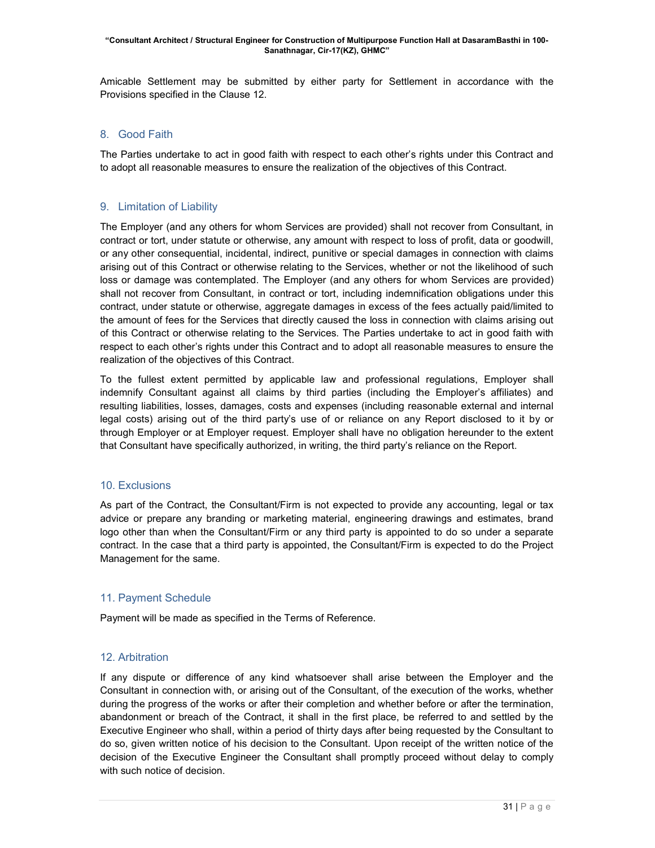Amicable Settlement may be submitted by either party for Settlement in accordance with the Provisions specified in the Clause 12.

# 8. Good Faith

The Parties undertake to act in good faith with respect to each other's rights under this Contract and to adopt all reasonable measures to ensure the realization of the objectives of this Contract.

# 9. Limitation of Liability

The Employer (and any others for whom Services are provided) shall not recover from Consultant, in contract or tort, under statute or otherwise, any amount with respect to loss of profit, data or goodwill, or any other consequential, incidental, indirect, punitive or special damages in connection with claims arising out of this Contract or otherwise relating to the Services, whether or not the likelihood of such loss or damage was contemplated. The Employer (and any others for whom Services are provided) shall not recover from Consultant, in contract or tort, including indemnification obligations under this contract, under statute or otherwise, aggregate damages in excess of the fees actually paid/limited to the amount of fees for the Services that directly caused the loss in connection with claims arising out of this Contract or otherwise relating to the Services. The Parties undertake to act in good faith with respect to each other's rights under this Contract and to adopt all reasonable measures to ensure the realization of the objectives of this Contract.

To the fullest extent permitted by applicable law and professional regulations, Employer shall indemnify Consultant against all claims by third parties (including the Employer's affiliates) and resulting liabilities, losses, damages, costs and expenses (including reasonable external and internal legal costs) arising out of the third party's use of or reliance on any Report disclosed to it by or through Employer or at Employer request. Employer shall have no obligation hereunder to the extent that Consultant have specifically authorized, in writing, the third party's reliance on the Report.

# 10. Exclusions

As part of the Contract, the Consultant/Firm is not expected to provide any accounting, legal or tax advice or prepare any branding or marketing material, engineering drawings and estimates, brand logo other than when the Consultant/Firm or any third party is appointed to do so under a separate contract. In the case that a third party is appointed, the Consultant/Firm is expected to do the Project Management for the same.

# 11. Payment Schedule

Payment will be made as specified in the Terms of Reference.

# 12. Arbitration

If any dispute or difference of any kind whatsoever shall arise between the Employer and the Consultant in connection with, or arising out of the Consultant, of the execution of the works, whether during the progress of the works or after their completion and whether before or after the termination, abandonment or breach of the Contract, it shall in the first place, be referred to and settled by the Executive Engineer who shall, within a period of thirty days after being requested by the Consultant to do so, given written notice of his decision to the Consultant. Upon receipt of the written notice of the decision of the Executive Engineer the Consultant shall promptly proceed without delay to comply with such notice of decision.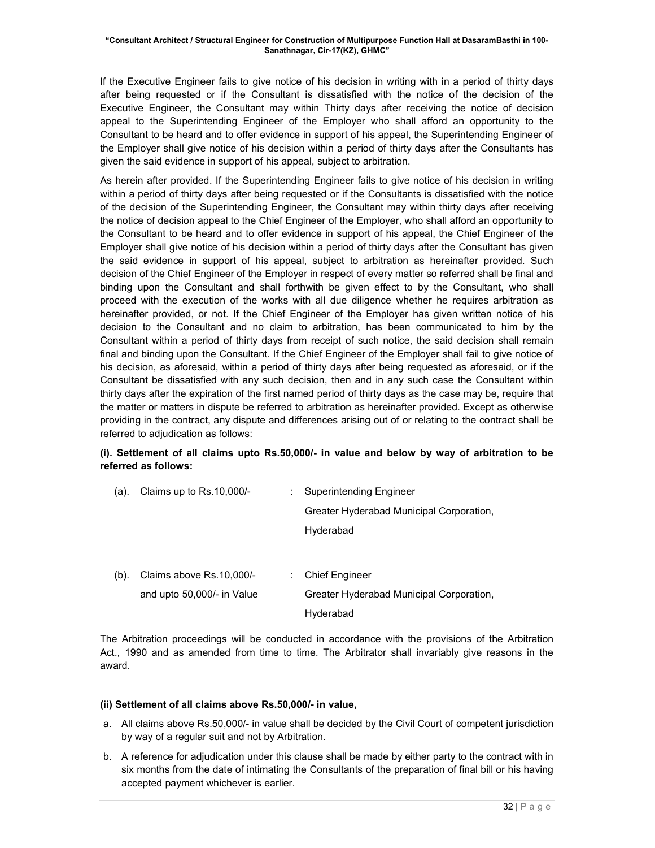If the Executive Engineer fails to give notice of his decision in writing with in a period of thirty days after being requested or if the Consultant is dissatisfied with the notice of the decision of the Executive Engineer, the Consultant may within Thirty days after receiving the notice of decision appeal to the Superintending Engineer of the Employer who shall afford an opportunity to the Consultant to be heard and to offer evidence in support of his appeal, the Superintending Engineer of the Employer shall give notice of his decision within a period of thirty days after the Consultants has given the said evidence in support of his appeal, subject to arbitration.

As herein after provided. If the Superintending Engineer fails to give notice of his decision in writing within a period of thirty days after being requested or if the Consultants is dissatisfied with the notice of the decision of the Superintending Engineer, the Consultant may within thirty days after receiving the notice of decision appeal to the Chief Engineer of the Employer, who shall afford an opportunity to the Consultant to be heard and to offer evidence in support of his appeal, the Chief Engineer of the Employer shall give notice of his decision within a period of thirty days after the Consultant has given the said evidence in support of his appeal, subject to arbitration as hereinafter provided. Such decision of the Chief Engineer of the Employer in respect of every matter so referred shall be final and binding upon the Consultant and shall forthwith be given effect to by the Consultant, who shall proceed with the execution of the works with all due diligence whether he requires arbitration as hereinafter provided, or not. If the Chief Engineer of the Employer has given written notice of his decision to the Consultant and no claim to arbitration, has been communicated to him by the Consultant within a period of thirty days from receipt of such notice, the said decision shall remain final and binding upon the Consultant. If the Chief Engineer of the Employer shall fail to give notice of his decision, as aforesaid, within a period of thirty days after being requested as aforesaid, or if the Consultant be dissatisfied with any such decision, then and in any such case the Consultant within thirty days after the expiration of the first named period of thirty days as the case may be, require that the matter or matters in dispute be referred to arbitration as hereinafter provided. Except as otherwise providing in the contract, any dispute and differences arising out of or relating to the contract shall be referred to adjudication as follows:

# (i). Settlement of all claims upto Rs.50,000/- in value and below by way of arbitration to be referred as follows:

| (a).    | Claims up to Rs.10,000/-   |   | Superintending Engineer                  |
|---------|----------------------------|---|------------------------------------------|
|         |                            |   | Greater Hyderabad Municipal Corporation, |
|         |                            |   | Hyderabad                                |
|         |                            |   |                                          |
| $(b)$ . | Claims above Rs.10,000/-   | ÷ | <b>Chief Engineer</b>                    |
|         | and upto 50,000/- in Value |   | Greater Hyderabad Municipal Corporation, |
|         |                            |   | Hyderabad                                |

The Arbitration proceedings will be conducted in accordance with the provisions of the Arbitration Act., 1990 and as amended from time to time. The Arbitrator shall invariably give reasons in the award.

# (ii) Settlement of all claims above Rs.50,000/- in value,

- a. All claims above Rs.50,000/- in value shall be decided by the Civil Court of competent jurisdiction by way of a regular suit and not by Arbitration.
- b. A reference for adjudication under this clause shall be made by either party to the contract with in six months from the date of intimating the Consultants of the preparation of final bill or his having accepted payment whichever is earlier.